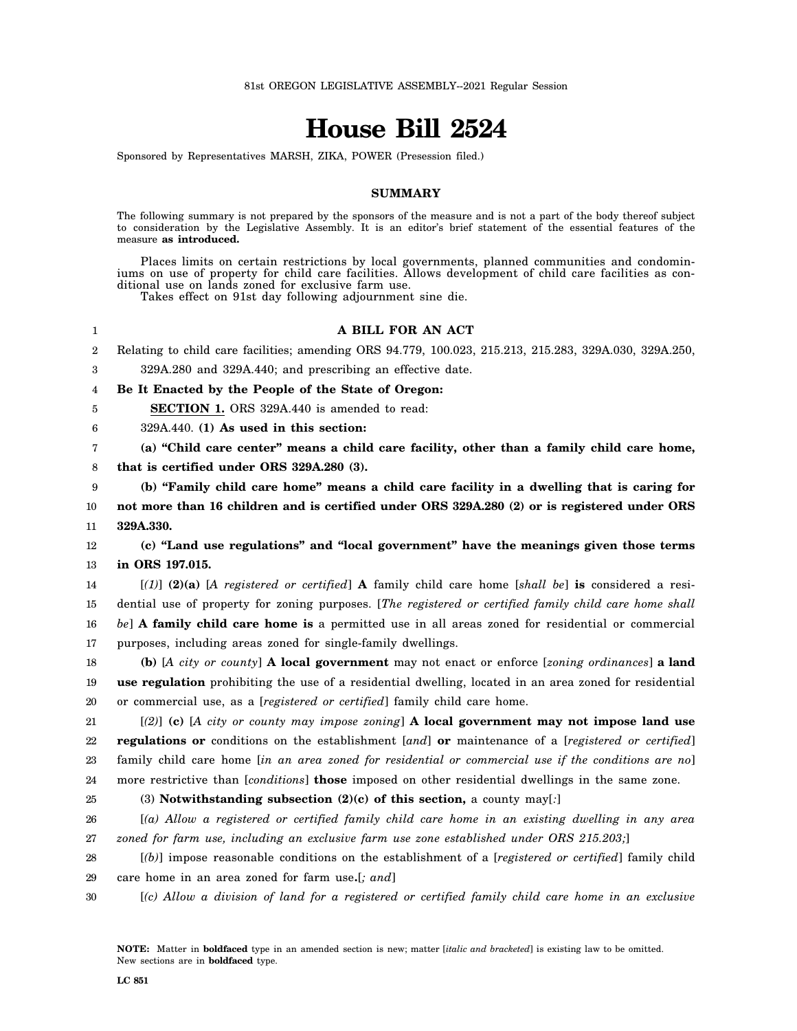# **House Bill 2524**

Sponsored by Representatives MARSH, ZIKA, POWER (Presession filed.)

# **SUMMARY**

The following summary is not prepared by the sponsors of the measure and is not a part of the body thereof subject to consideration by the Legislative Assembly. It is an editor's brief statement of the essential features of the measure **as introduced.**

Places limits on certain restrictions by local governments, planned communities and condominiums on use of property for child care facilities. Allows development of child care facilities as conditional use on lands zoned for exclusive farm use.

Takes effect on 91st day following adjournment sine die.

#### 1 **A BILL FOR AN ACT**

2 Relating to child care facilities; amending ORS 94.779, 100.023, 215.213, 215.283, 329A.030, 329A.250,

3 329A.280 and 329A.440; and prescribing an effective date.

4 **Be It Enacted by the People of the State of Oregon:**

**SECTION 1.** ORS 329A.440 is amended to read:

6 329A.440. **(1) As used in this section:**

7 8 **(a) "Child care center" means a child care facility, other than a family child care home, that is certified under ORS 329A.280 (3).**

9 10 11 **(b) "Family child care home" means a child care facility in a dwelling that is caring for not more than 16 children and is certified under ORS 329A.280 (2) or is registered under ORS 329A.330.**

12 13 **(c) "Land use regulations" and "local government" have the meanings given those terms in ORS 197.015.**

14 15 16 17 [*(1)*] **(2)(a)** [*A registered or certified*] **A** family child care home [*shall be*] **is** considered a residential use of property for zoning purposes. [*The registered or certified family child care home shall be*] **A family child care home is** a permitted use in all areas zoned for residential or commercial purposes, including areas zoned for single-family dwellings.

18 19 20 **(b)** [*A city or county*] **A local government** may not enact or enforce [*zoning ordinances*] **a land use regulation** prohibiting the use of a residential dwelling, located in an area zoned for residential or commercial use, as a [*registered or certified*] family child care home.

21 22 23 24 [*(2)*] **(c)** [*A city or county may impose zoning*] **A local government may not impose land use regulations or** conditions on the establishment [*and*] **or** maintenance of a [*registered or certified*] family child care home [*in an area zoned for residential or commercial use if the conditions are no*] more restrictive than [*conditions*] **those** imposed on other residential dwellings in the same zone.

25

5

(3) **Notwithstanding subsection (2)(c) of this section,** a county may[*:*]

26 27 [*(a) Allow a registered or certified family child care home in an existing dwelling in any area zoned for farm use, including an exclusive farm use zone established under ORS 215.203;*]

- 28 29 [*(b)*] impose reasonable conditions on the establishment of a [*registered or certified*] family child care home in an area zoned for farm use**.**[*; and*]
- 30 [*(c) Allow a division of land for a registered or certified family child care home in an exclusive*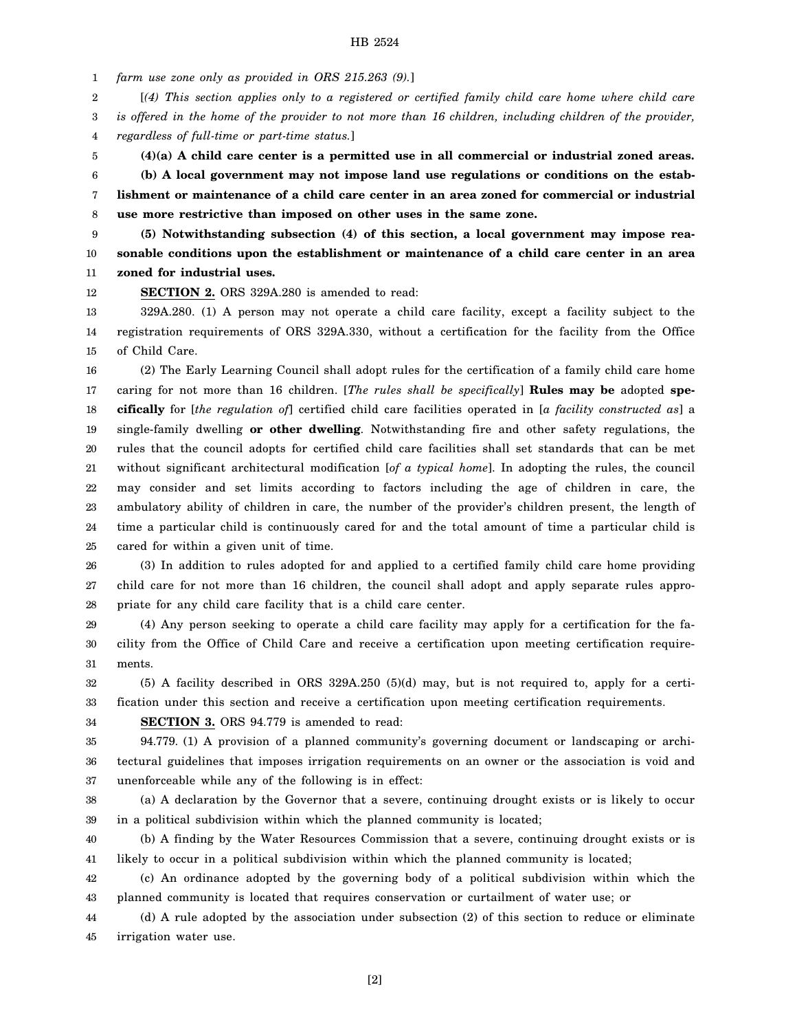1 *farm use zone only as provided in ORS 215.263 (9).*]

2 [*(4) This section applies only to a registered or certified family child care home where child care*

3 *is offered in the home of the provider to not more than 16 children, including children of the provider,*

4 *regardless of full-time or part-time status.*]

5 **(4)(a) A child care center is a permitted use in all commercial or industrial zoned areas.**

6 7 8 **(b) A local government may not impose land use regulations or conditions on the establishment or maintenance of a child care center in an area zoned for commercial or industrial use more restrictive than imposed on other uses in the same zone.**

9 10 11 **(5) Notwithstanding subsection (4) of this section, a local government may impose reasonable conditions upon the establishment or maintenance of a child care center in an area zoned for industrial uses.**

12 **SECTION 2.** ORS 329A.280 is amended to read:

13 14 15 329A.280. (1) A person may not operate a child care facility, except a facility subject to the registration requirements of ORS 329A.330, without a certification for the facility from the Office of Child Care.

16 17 18 19 20 21 22 23 24 25 (2) The Early Learning Council shall adopt rules for the certification of a family child care home caring for not more than 16 children. [*The rules shall be specifically*] **Rules may be** adopted **specifically** for [*the regulation of*] certified child care facilities operated in [*a facility constructed as*] a single-family dwelling **or other dwelling**. Notwithstanding fire and other safety regulations, the rules that the council adopts for certified child care facilities shall set standards that can be met without significant architectural modification [*of a typical home*]. In adopting the rules, the council may consider and set limits according to factors including the age of children in care, the ambulatory ability of children in care, the number of the provider's children present, the length of time a particular child is continuously cared for and the total amount of time a particular child is cared for within a given unit of time.

26 27 28 (3) In addition to rules adopted for and applied to a certified family child care home providing child care for not more than 16 children, the council shall adopt and apply separate rules appropriate for any child care facility that is a child care center.

29 30 31 (4) Any person seeking to operate a child care facility may apply for a certification for the facility from the Office of Child Care and receive a certification upon meeting certification requirements.

32 33 (5) A facility described in ORS 329A.250 (5)(d) may, but is not required to, apply for a certification under this section and receive a certification upon meeting certification requirements.

34 **SECTION 3.** ORS 94.779 is amended to read:

35 36 37 94.779. (1) A provision of a planned community's governing document or landscaping or architectural guidelines that imposes irrigation requirements on an owner or the association is void and unenforceable while any of the following is in effect:

38 39 (a) A declaration by the Governor that a severe, continuing drought exists or is likely to occur in a political subdivision within which the planned community is located;

40 41 (b) A finding by the Water Resources Commission that a severe, continuing drought exists or is likely to occur in a political subdivision within which the planned community is located;

42 43 (c) An ordinance adopted by the governing body of a political subdivision within which the planned community is located that requires conservation or curtailment of water use; or

44 45 (d) A rule adopted by the association under subsection (2) of this section to reduce or eliminate irrigation water use.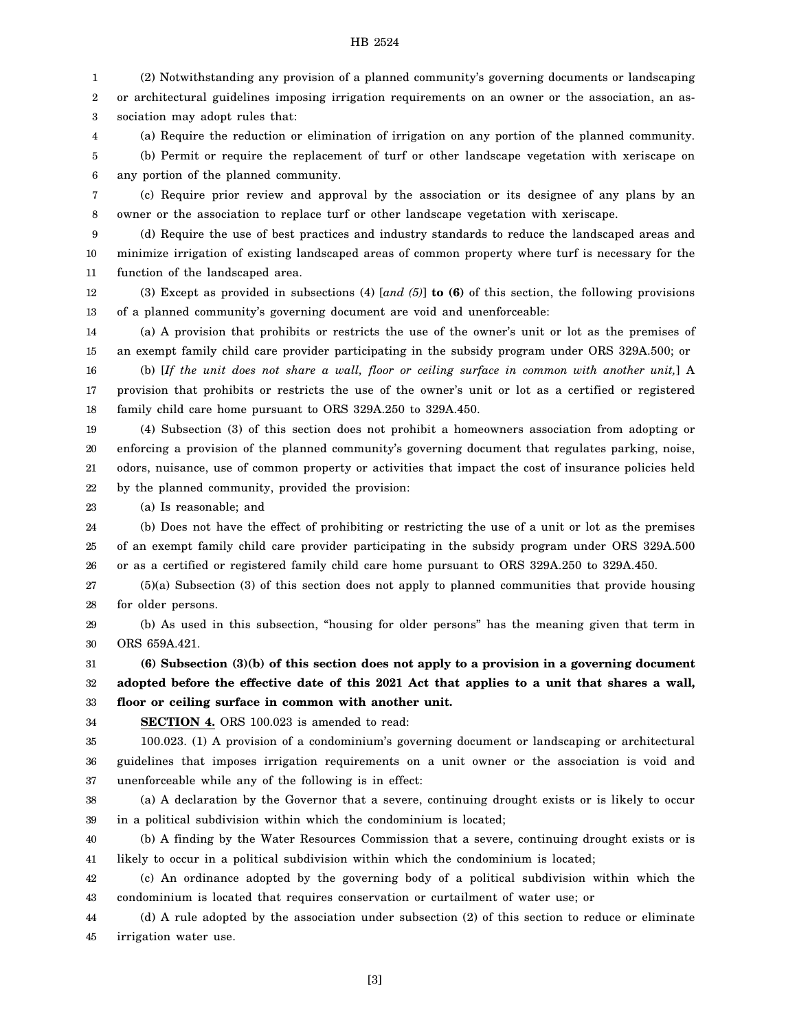1 2 3 (2) Notwithstanding any provision of a planned community's governing documents or landscaping or architectural guidelines imposing irrigation requirements on an owner or the association, an association may adopt rules that:

4 5 6 (a) Require the reduction or elimination of irrigation on any portion of the planned community. (b) Permit or require the replacement of turf or other landscape vegetation with xeriscape on any portion of the planned community.

7 8 (c) Require prior review and approval by the association or its designee of any plans by an owner or the association to replace turf or other landscape vegetation with xeriscape.

9 10 11 (d) Require the use of best practices and industry standards to reduce the landscaped areas and minimize irrigation of existing landscaped areas of common property where turf is necessary for the function of the landscaped area.

12 13 (3) Except as provided in subsections (4) [*and (5)*] **to (6)** of this section, the following provisions of a planned community's governing document are void and unenforceable:

14 15 16 (a) A provision that prohibits or restricts the use of the owner's unit or lot as the premises of an exempt family child care provider participating in the subsidy program under ORS 329A.500; or

17 18 (b) [*If the unit does not share a wall, floor or ceiling surface in common with another unit,*] A provision that prohibits or restricts the use of the owner's unit or lot as a certified or registered family child care home pursuant to ORS 329A.250 to 329A.450.

19 20 21 22 (4) Subsection (3) of this section does not prohibit a homeowners association from adopting or enforcing a provision of the planned community's governing document that regulates parking, noise, odors, nuisance, use of common property or activities that impact the cost of insurance policies held by the planned community, provided the provision:

23 (a) Is reasonable; and

24 25 26 (b) Does not have the effect of prohibiting or restricting the use of a unit or lot as the premises of an exempt family child care provider participating in the subsidy program under ORS 329A.500 or as a certified or registered family child care home pursuant to ORS 329A.250 to 329A.450.

27 28 (5)(a) Subsection (3) of this section does not apply to planned communities that provide housing for older persons.

29 30 (b) As used in this subsection, "housing for older persons" has the meaning given that term in ORS 659A.421.

31 32 33 **(6) Subsection (3)(b) of this section does not apply to a provision in a governing document adopted before the effective date of this 2021 Act that applies to a unit that shares a wall, floor or ceiling surface in common with another unit.**

34 **SECTION 4.** ORS 100.023 is amended to read:

35 36 37 100.023. (1) A provision of a condominium's governing document or landscaping or architectural guidelines that imposes irrigation requirements on a unit owner or the association is void and unenforceable while any of the following is in effect:

38 39 (a) A declaration by the Governor that a severe, continuing drought exists or is likely to occur in a political subdivision within which the condominium is located;

40 41 (b) A finding by the Water Resources Commission that a severe, continuing drought exists or is likely to occur in a political subdivision within which the condominium is located;

42 43 (c) An ordinance adopted by the governing body of a political subdivision within which the condominium is located that requires conservation or curtailment of water use; or

44 45 (d) A rule adopted by the association under subsection (2) of this section to reduce or eliminate irrigation water use.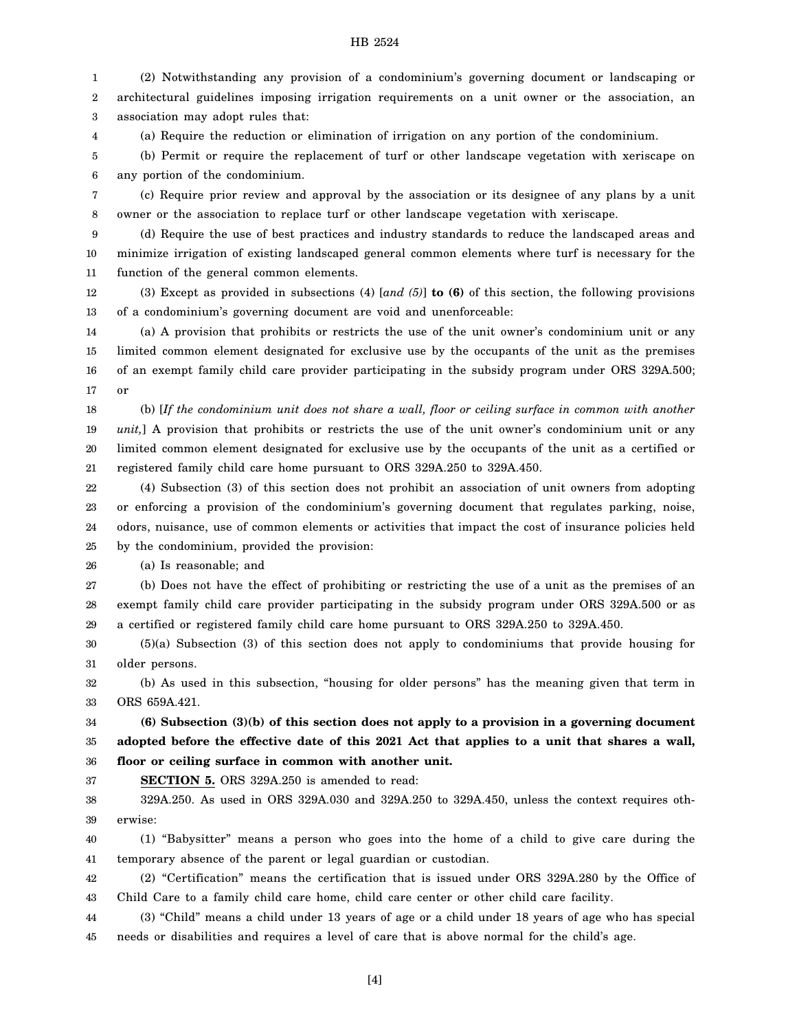1 2 3 (2) Notwithstanding any provision of a condominium's governing document or landscaping or architectural guidelines imposing irrigation requirements on a unit owner or the association, an association may adopt rules that:

4 (a) Require the reduction or elimination of irrigation on any portion of the condominium.

5 6 (b) Permit or require the replacement of turf or other landscape vegetation with xeriscape on any portion of the condominium.

7 8 (c) Require prior review and approval by the association or its designee of any plans by a unit owner or the association to replace turf or other landscape vegetation with xeriscape.

9 10 11 (d) Require the use of best practices and industry standards to reduce the landscaped areas and minimize irrigation of existing landscaped general common elements where turf is necessary for the function of the general common elements.

12 13 (3) Except as provided in subsections (4) [*and (5)*] **to (6)** of this section, the following provisions of a condominium's governing document are void and unenforceable:

14 15 16 17 (a) A provision that prohibits or restricts the use of the unit owner's condominium unit or any limited common element designated for exclusive use by the occupants of the unit as the premises of an exempt family child care provider participating in the subsidy program under ORS 329A.500; or

18 19 20 21 (b) [*If the condominium unit does not share a wall, floor or ceiling surface in common with another unit,*] A provision that prohibits or restricts the use of the unit owner's condominium unit or any limited common element designated for exclusive use by the occupants of the unit as a certified or registered family child care home pursuant to ORS 329A.250 to 329A.450.

22 23 24 25 (4) Subsection (3) of this section does not prohibit an association of unit owners from adopting or enforcing a provision of the condominium's governing document that regulates parking, noise, odors, nuisance, use of common elements or activities that impact the cost of insurance policies held by the condominium, provided the provision:

26 (a) Is reasonable; and

27 28 29 (b) Does not have the effect of prohibiting or restricting the use of a unit as the premises of an exempt family child care provider participating in the subsidy program under ORS 329A.500 or as a certified or registered family child care home pursuant to ORS 329A.250 to 329A.450.

30 31 (5)(a) Subsection (3) of this section does not apply to condominiums that provide housing for older persons.

32 33 (b) As used in this subsection, "housing for older persons" has the meaning given that term in ORS 659A.421.

34 35 36 **(6) Subsection (3)(b) of this section does not apply to a provision in a governing document adopted before the effective date of this 2021 Act that applies to a unit that shares a wall, floor or ceiling surface in common with another unit.**

37 **SECTION 5.** ORS 329A.250 is amended to read:

38 39 329A.250. As used in ORS 329A.030 and 329A.250 to 329A.450, unless the context requires otherwise:

40 41 (1) "Babysitter" means a person who goes into the home of a child to give care during the temporary absence of the parent or legal guardian or custodian.

42 43 (2) "Certification" means the certification that is issued under ORS 329A.280 by the Office of Child Care to a family child care home, child care center or other child care facility.

44 45 (3) "Child" means a child under 13 years of age or a child under 18 years of age who has special needs or disabilities and requires a level of care that is above normal for the child's age.

[4]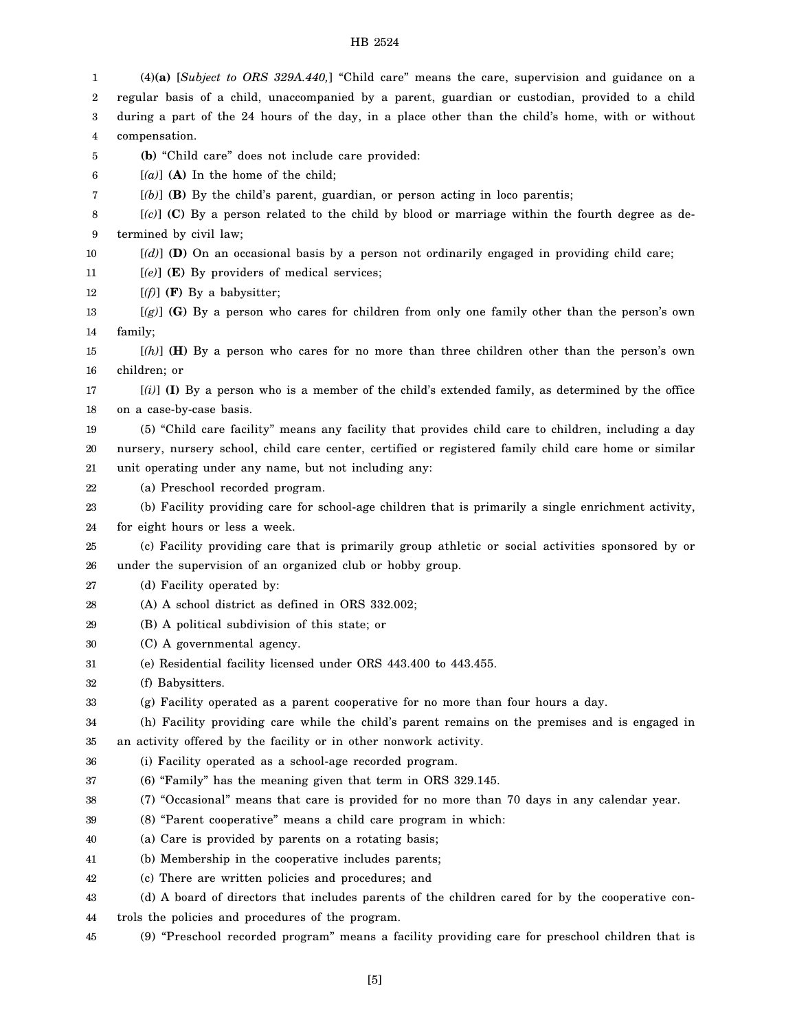1 2 3 4 5 6 7 8 9 10 11 12 13 14 15 16 17 18 19 20 21 22 23 24 25 26 27 28 29 30 31 32 33 34 35 36 37 38 39 40 41 42 43 44 45 (4)**(a)** [*Subject to ORS 329A.440,*] "Child care" means the care, supervision and guidance on a regular basis of a child, unaccompanied by a parent, guardian or custodian, provided to a child during a part of the 24 hours of the day, in a place other than the child's home, with or without compensation. **(b)** "Child care" does not include care provided: [*(a)*] **(A)** In the home of the child; [*(b)*] **(B)** By the child's parent, guardian, or person acting in loco parentis; [*(c)*] **(C)** By a person related to the child by blood or marriage within the fourth degree as determined by civil law; [*(d)*] **(D)** On an occasional basis by a person not ordinarily engaged in providing child care; [*(e)*] **(E)** By providers of medical services;  $[(f)]$  (**F**) By a babysitter; [*(g)*] **(G)** By a person who cares for children from only one family other than the person's own family; [*(h)*] **(H)** By a person who cares for no more than three children other than the person's own children; or [*(i)*] **(I)** By a person who is a member of the child's extended family, as determined by the office on a case-by-case basis. (5) "Child care facility" means any facility that provides child care to children, including a day nursery, nursery school, child care center, certified or registered family child care home or similar unit operating under any name, but not including any: (a) Preschool recorded program. (b) Facility providing care for school-age children that is primarily a single enrichment activity, for eight hours or less a week. (c) Facility providing care that is primarily group athletic or social activities sponsored by or under the supervision of an organized club or hobby group. (d) Facility operated by: (A) A school district as defined in ORS 332.002; (B) A political subdivision of this state; or (C) A governmental agency. (e) Residential facility licensed under ORS 443.400 to 443.455. (f) Babysitters. (g) Facility operated as a parent cooperative for no more than four hours a day. (h) Facility providing care while the child's parent remains on the premises and is engaged in an activity offered by the facility or in other nonwork activity. (i) Facility operated as a school-age recorded program. (6) "Family" has the meaning given that term in ORS 329.145. (7) "Occasional" means that care is provided for no more than 70 days in any calendar year. (8) "Parent cooperative" means a child care program in which: (a) Care is provided by parents on a rotating basis; (b) Membership in the cooperative includes parents; (c) There are written policies and procedures; and (d) A board of directors that includes parents of the children cared for by the cooperative controls the policies and procedures of the program. (9) "Preschool recorded program" means a facility providing care for preschool children that is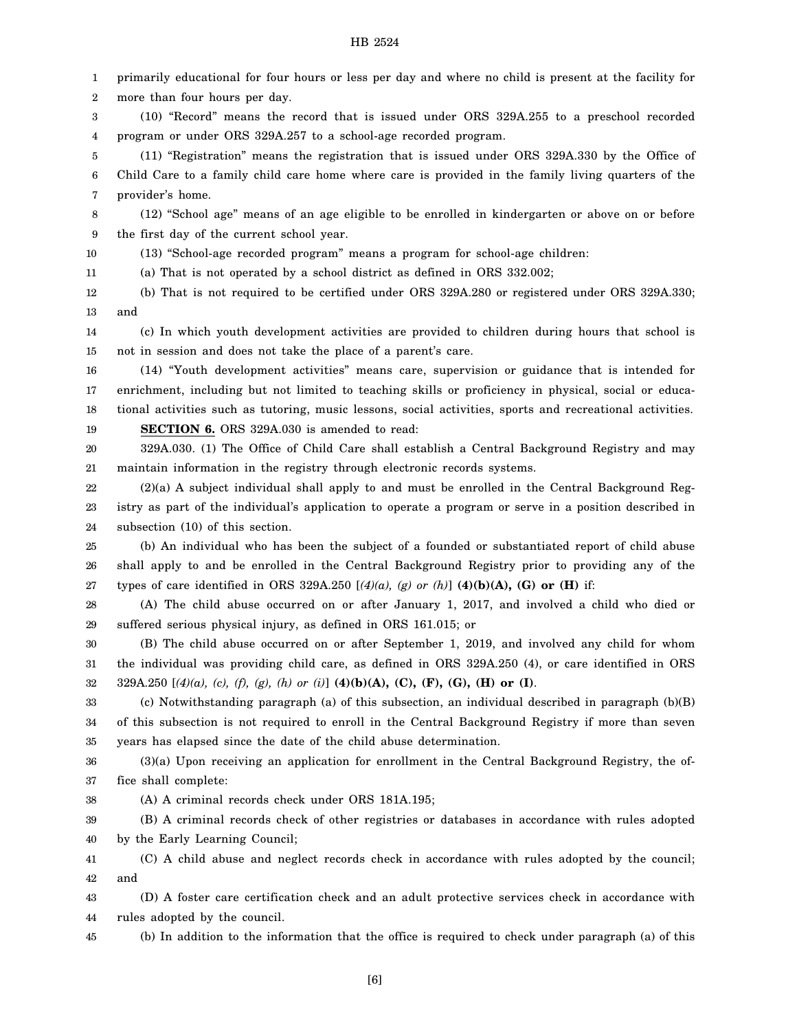1 2 3 4 5 6 7 8 9 10 11 12 13 14 15 16 17 18 19 20 21 22 23 24 25 26 27 28 29 30 31 32 33 34 35 36 37 38 39 40 primarily educational for four hours or less per day and where no child is present at the facility for more than four hours per day. (10) "Record" means the record that is issued under ORS 329A.255 to a preschool recorded program or under ORS 329A.257 to a school-age recorded program. (11) "Registration" means the registration that is issued under ORS 329A.330 by the Office of Child Care to a family child care home where care is provided in the family living quarters of the provider's home. (12) "School age" means of an age eligible to be enrolled in kindergarten or above on or before the first day of the current school year. (13) "School-age recorded program" means a program for school-age children: (a) That is not operated by a school district as defined in ORS 332.002; (b) That is not required to be certified under ORS 329A.280 or registered under ORS 329A.330; and (c) In which youth development activities are provided to children during hours that school is not in session and does not take the place of a parent's care. (14) "Youth development activities" means care, supervision or guidance that is intended for enrichment, including but not limited to teaching skills or proficiency in physical, social or educational activities such as tutoring, music lessons, social activities, sports and recreational activities. **SECTION 6.** ORS 329A.030 is amended to read: 329A.030. (1) The Office of Child Care shall establish a Central Background Registry and may maintain information in the registry through electronic records systems. (2)(a) A subject individual shall apply to and must be enrolled in the Central Background Registry as part of the individual's application to operate a program or serve in a position described in subsection (10) of this section. (b) An individual who has been the subject of a founded or substantiated report of child abuse shall apply to and be enrolled in the Central Background Registry prior to providing any of the types of care identified in ORS 329A.250 [*(4)(a), (g) or (h)*] **(4)(b)(A), (G) or (H)** if: (A) The child abuse occurred on or after January 1, 2017, and involved a child who died or suffered serious physical injury, as defined in ORS 161.015; or (B) The child abuse occurred on or after September 1, 2019, and involved any child for whom the individual was providing child care, as defined in ORS 329A.250 (4), or care identified in ORS 329A.250 [*(4)(a), (c), (f), (g), (h) or (i)*] **(4)(b)(A), (C), (F), (G), (H) or (I)**. (c) Notwithstanding paragraph (a) of this subsection, an individual described in paragraph (b)(B) of this subsection is not required to enroll in the Central Background Registry if more than seven years has elapsed since the date of the child abuse determination. (3)(a) Upon receiving an application for enrollment in the Central Background Registry, the office shall complete: (A) A criminal records check under ORS 181A.195; (B) A criminal records check of other registries or databases in accordance with rules adopted by the Early Learning Council;

41 42 (C) A child abuse and neglect records check in accordance with rules adopted by the council; and

43 44 (D) A foster care certification check and an adult protective services check in accordance with rules adopted by the council.

45 (b) In addition to the information that the office is required to check under paragraph (a) of this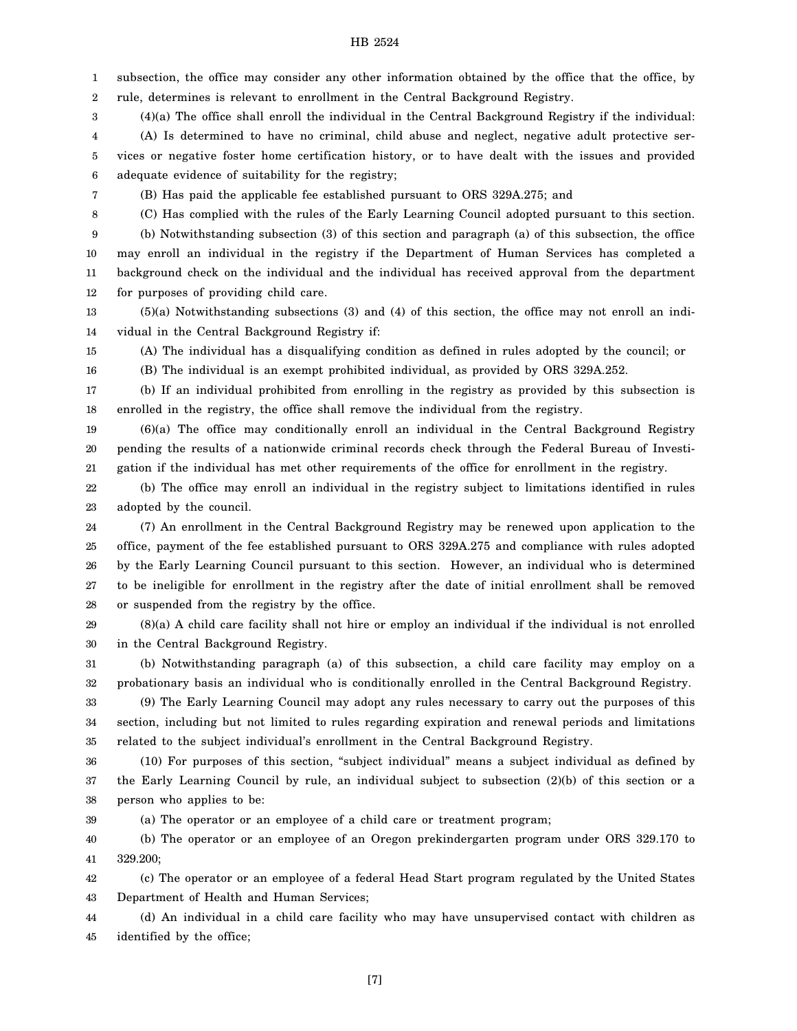1 2 subsection, the office may consider any other information obtained by the office that the office, by rule, determines is relevant to enrollment in the Central Background Registry.

3 (4)(a) The office shall enroll the individual in the Central Background Registry if the individual:

4 5 6 (A) Is determined to have no criminal, child abuse and neglect, negative adult protective services or negative foster home certification history, or to have dealt with the issues and provided adequate evidence of suitability for the registry;

7 8

16

(B) Has paid the applicable fee established pursuant to ORS 329A.275; and

(C) Has complied with the rules of the Early Learning Council adopted pursuant to this section.

9 10 11 12 (b) Notwithstanding subsection (3) of this section and paragraph (a) of this subsection, the office may enroll an individual in the registry if the Department of Human Services has completed a background check on the individual and the individual has received approval from the department for purposes of providing child care.

13 14 (5)(a) Notwithstanding subsections (3) and (4) of this section, the office may not enroll an individual in the Central Background Registry if:

15 (A) The individual has a disqualifying condition as defined in rules adopted by the council; or

(B) The individual is an exempt prohibited individual, as provided by ORS 329A.252.

17 18 (b) If an individual prohibited from enrolling in the registry as provided by this subsection is enrolled in the registry, the office shall remove the individual from the registry.

19 20 21 (6)(a) The office may conditionally enroll an individual in the Central Background Registry pending the results of a nationwide criminal records check through the Federal Bureau of Investigation if the individual has met other requirements of the office for enrollment in the registry.

22 23 (b) The office may enroll an individual in the registry subject to limitations identified in rules adopted by the council.

24 25 26 27 28 (7) An enrollment in the Central Background Registry may be renewed upon application to the office, payment of the fee established pursuant to ORS 329A.275 and compliance with rules adopted by the Early Learning Council pursuant to this section. However, an individual who is determined to be ineligible for enrollment in the registry after the date of initial enrollment shall be removed or suspended from the registry by the office.

29 30 (8)(a) A child care facility shall not hire or employ an individual if the individual is not enrolled in the Central Background Registry.

31 32 (b) Notwithstanding paragraph (a) of this subsection, a child care facility may employ on a probationary basis an individual who is conditionally enrolled in the Central Background Registry.

33 34 35 (9) The Early Learning Council may adopt any rules necessary to carry out the purposes of this section, including but not limited to rules regarding expiration and renewal periods and limitations related to the subject individual's enrollment in the Central Background Registry.

36 37 38 (10) For purposes of this section, "subject individual" means a subject individual as defined by the Early Learning Council by rule, an individual subject to subsection (2)(b) of this section or a person who applies to be:

39 (a) The operator or an employee of a child care or treatment program;

40 41 (b) The operator or an employee of an Oregon prekindergarten program under ORS 329.170 to 329.200;

42 43 (c) The operator or an employee of a federal Head Start program regulated by the United States Department of Health and Human Services;

44 45 (d) An individual in a child care facility who may have unsupervised contact with children as identified by the office;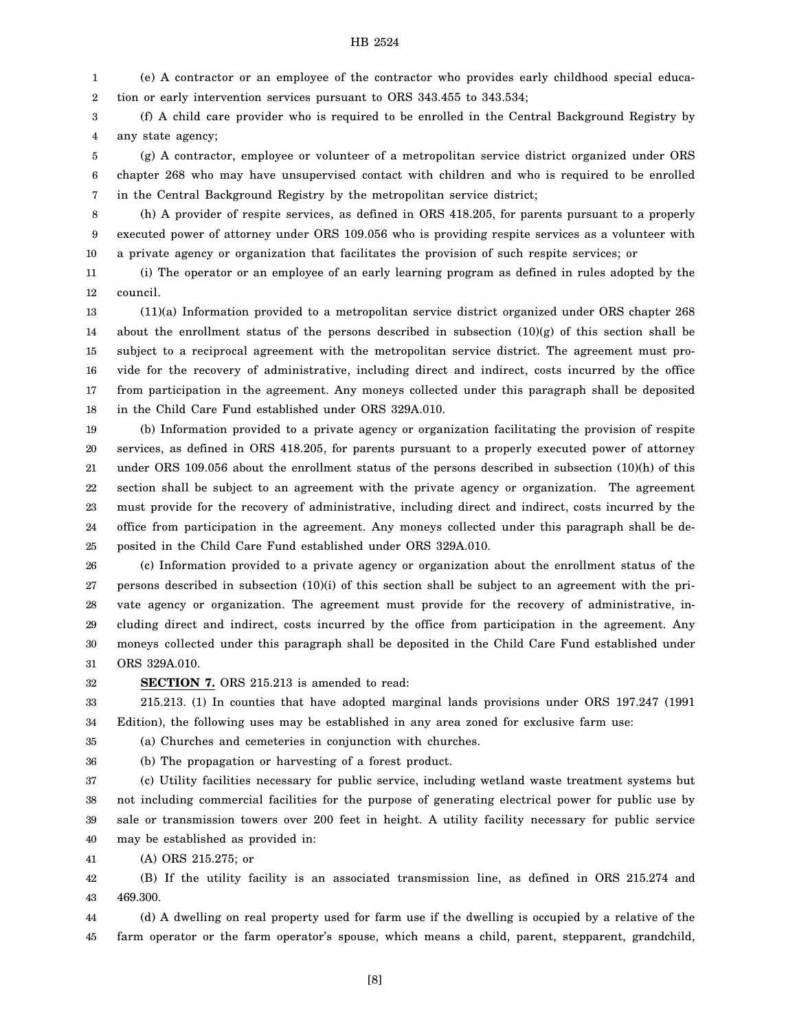1 2 (e) A contractor or an employee of the contractor who provides early childhood special education or early intervention services pursuant to ORS 343.455 to 343.534;

3 4 (f) A child care provider who is required to be enrolled in the Central Background Registry by any state agency;

5 6 7 (g) A contractor, employee or volunteer of a metropolitan service district organized under ORS chapter 268 who may have unsupervised contact with children and who is required to be enrolled in the Central Background Registry by the metropolitan service district;

8 9 10 (h) A provider of respite services, as defined in ORS 418.205, for parents pursuant to a properly executed power of attorney under ORS 109.056 who is providing respite services as a volunteer with a private agency or organization that facilitates the provision of such respite services; or

11 12 (i) The operator or an employee of an early learning program as defined in rules adopted by the council.

13 14 15 16 17 18 (11)(a) Information provided to a metropolitan service district organized under ORS chapter 268 about the enrollment status of the persons described in subsection  $(10)(g)$  of this section shall be subject to a reciprocal agreement with the metropolitan service district. The agreement must provide for the recovery of administrative, including direct and indirect, costs incurred by the office from participation in the agreement. Any moneys collected under this paragraph shall be deposited in the Child Care Fund established under ORS 329A.010.

19 20 21 22 23 24 25 (b) Information provided to a private agency or organization facilitating the provision of respite services, as defined in ORS 418.205, for parents pursuant to a properly executed power of attorney under ORS 109.056 about the enrollment status of the persons described in subsection (10)(h) of this section shall be subject to an agreement with the private agency or organization. The agreement must provide for the recovery of administrative, including direct and indirect, costs incurred by the office from participation in the agreement. Any moneys collected under this paragraph shall be deposited in the Child Care Fund established under ORS 329A.010.

26 27 28 29 30 31 (c) Information provided to a private agency or organization about the enrollment status of the persons described in subsection (10)(i) of this section shall be subject to an agreement with the private agency or organization. The agreement must provide for the recovery of administrative, including direct and indirect, costs incurred by the office from participation in the agreement. Any moneys collected under this paragraph shall be deposited in the Child Care Fund established under ORS 329A.010.

32

**SECTION 7.** ORS 215.213 is amended to read:

33 34 215.213. (1) In counties that have adopted marginal lands provisions under ORS 197.247 (1991 Edition), the following uses may be established in any area zoned for exclusive farm use:

35 (a) Churches and cemeteries in conjunction with churches.

36

(b) The propagation or harvesting of a forest product.

37 38 39 40 (c) Utility facilities necessary for public service, including wetland waste treatment systems but not including commercial facilities for the purpose of generating electrical power for public use by sale or transmission towers over 200 feet in height. A utility facility necessary for public service may be established as provided in:

41 (A) ORS 215.275; or

42 43 (B) If the utility facility is an associated transmission line, as defined in ORS 215.274 and 469.300.

44 45 (d) A dwelling on real property used for farm use if the dwelling is occupied by a relative of the farm operator or the farm operator's spouse, which means a child, parent, stepparent, grandchild,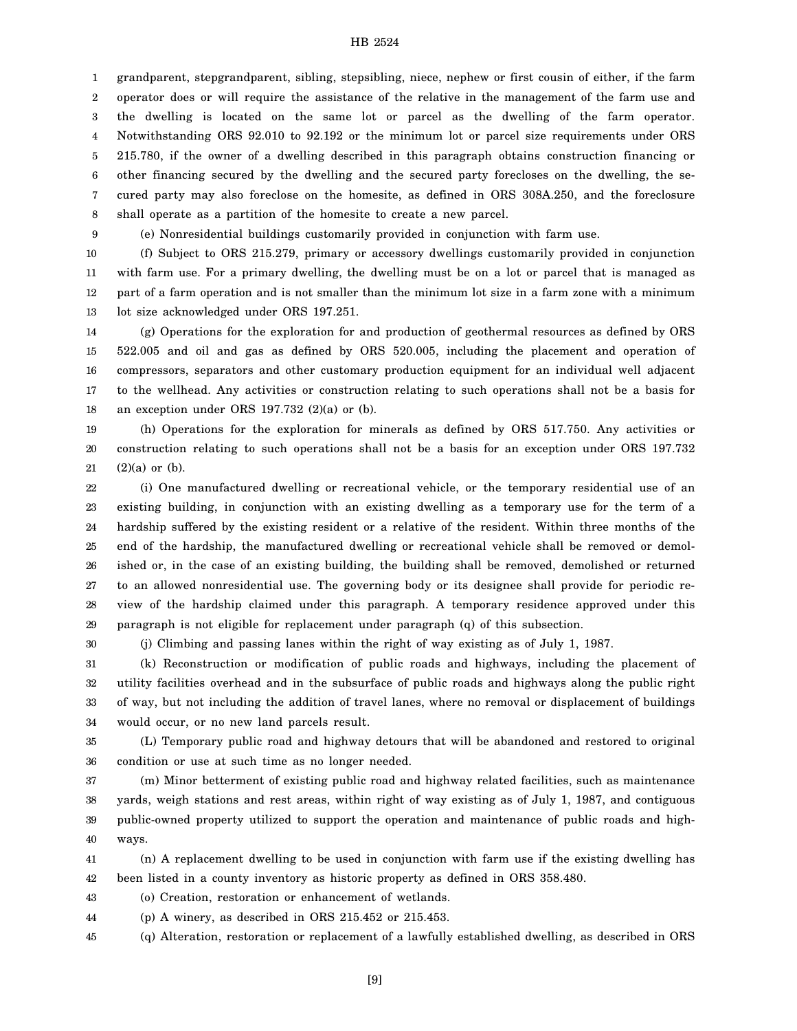1 2 3 4 5 6 7 8 grandparent, stepgrandparent, sibling, stepsibling, niece, nephew or first cousin of either, if the farm operator does or will require the assistance of the relative in the management of the farm use and the dwelling is located on the same lot or parcel as the dwelling of the farm operator. Notwithstanding ORS 92.010 to 92.192 or the minimum lot or parcel size requirements under ORS 215.780, if the owner of a dwelling described in this paragraph obtains construction financing or other financing secured by the dwelling and the secured party forecloses on the dwelling, the secured party may also foreclose on the homesite, as defined in ORS 308A.250, and the foreclosure shall operate as a partition of the homesite to create a new parcel.

(e) Nonresidential buildings customarily provided in conjunction with farm use.

10

9

11 12 13 (f) Subject to ORS 215.279, primary or accessory dwellings customarily provided in conjunction with farm use. For a primary dwelling, the dwelling must be on a lot or parcel that is managed as part of a farm operation and is not smaller than the minimum lot size in a farm zone with a minimum lot size acknowledged under ORS 197.251.

14 15 16 17 18 (g) Operations for the exploration for and production of geothermal resources as defined by ORS 522.005 and oil and gas as defined by ORS 520.005, including the placement and operation of compressors, separators and other customary production equipment for an individual well adjacent to the wellhead. Any activities or construction relating to such operations shall not be a basis for an exception under ORS 197.732 (2)(a) or (b).

19 20 21 (h) Operations for the exploration for minerals as defined by ORS 517.750. Any activities or construction relating to such operations shall not be a basis for an exception under ORS 197.732  $(2)(a)$  or  $(b)$ .

22 23 24 25 26 27 28 29 (i) One manufactured dwelling or recreational vehicle, or the temporary residential use of an existing building, in conjunction with an existing dwelling as a temporary use for the term of a hardship suffered by the existing resident or a relative of the resident. Within three months of the end of the hardship, the manufactured dwelling or recreational vehicle shall be removed or demolished or, in the case of an existing building, the building shall be removed, demolished or returned to an allowed nonresidential use. The governing body or its designee shall provide for periodic review of the hardship claimed under this paragraph. A temporary residence approved under this paragraph is not eligible for replacement under paragraph (q) of this subsection.

30

(j) Climbing and passing lanes within the right of way existing as of July 1, 1987.

31 32 33 34 (k) Reconstruction or modification of public roads and highways, including the placement of utility facilities overhead and in the subsurface of public roads and highways along the public right of way, but not including the addition of travel lanes, where no removal or displacement of buildings would occur, or no new land parcels result.

35 36 (L) Temporary public road and highway detours that will be abandoned and restored to original condition or use at such time as no longer needed.

37 38 39 40 (m) Minor betterment of existing public road and highway related facilities, such as maintenance yards, weigh stations and rest areas, within right of way existing as of July 1, 1987, and contiguous public-owned property utilized to support the operation and maintenance of public roads and highways.

41 42 (n) A replacement dwelling to be used in conjunction with farm use if the existing dwelling has been listed in a county inventory as historic property as defined in ORS 358.480.

43 (o) Creation, restoration or enhancement of wetlands.

44 (p) A winery, as described in ORS 215.452 or 215.453.

45 (q) Alteration, restoration or replacement of a lawfully established dwelling, as described in ORS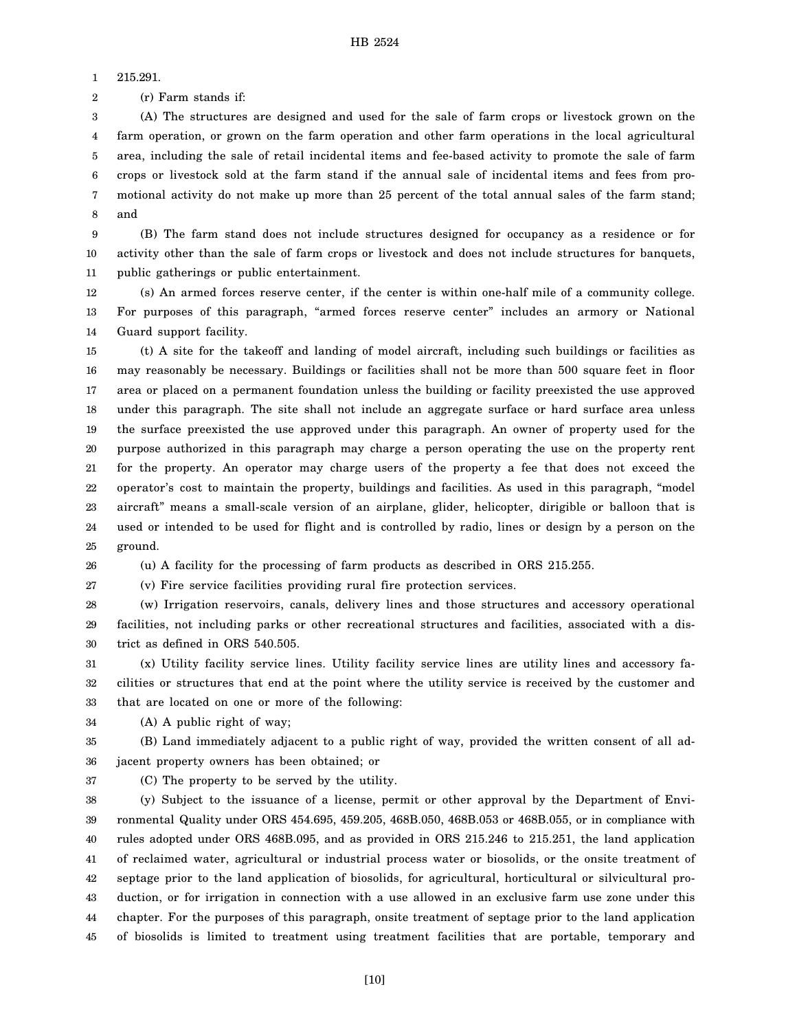1 215.291.

2 (r) Farm stands if:

3 4 5 6 7 8 (A) The structures are designed and used for the sale of farm crops or livestock grown on the farm operation, or grown on the farm operation and other farm operations in the local agricultural area, including the sale of retail incidental items and fee-based activity to promote the sale of farm crops or livestock sold at the farm stand if the annual sale of incidental items and fees from promotional activity do not make up more than 25 percent of the total annual sales of the farm stand; and

9 10 11 (B) The farm stand does not include structures designed for occupancy as a residence or for activity other than the sale of farm crops or livestock and does not include structures for banquets, public gatherings or public entertainment.

12 13 14 (s) An armed forces reserve center, if the center is within one-half mile of a community college. For purposes of this paragraph, "armed forces reserve center" includes an armory or National Guard support facility.

15 16 17 18 19 20 21 22 23 24 25 (t) A site for the takeoff and landing of model aircraft, including such buildings or facilities as may reasonably be necessary. Buildings or facilities shall not be more than 500 square feet in floor area or placed on a permanent foundation unless the building or facility preexisted the use approved under this paragraph. The site shall not include an aggregate surface or hard surface area unless the surface preexisted the use approved under this paragraph. An owner of property used for the purpose authorized in this paragraph may charge a person operating the use on the property rent for the property. An operator may charge users of the property a fee that does not exceed the operator's cost to maintain the property, buildings and facilities. As used in this paragraph, "model aircraft" means a small-scale version of an airplane, glider, helicopter, dirigible or balloon that is used or intended to be used for flight and is controlled by radio, lines or design by a person on the ground.

26 (u) A facility for the processing of farm products as described in ORS 215.255.

27 (v) Fire service facilities providing rural fire protection services.

28 29 30 (w) Irrigation reservoirs, canals, delivery lines and those structures and accessory operational facilities, not including parks or other recreational structures and facilities, associated with a district as defined in ORS 540.505.

31 32 33 (x) Utility facility service lines. Utility facility service lines are utility lines and accessory facilities or structures that end at the point where the utility service is received by the customer and that are located on one or more of the following:

34 (A) A public right of way;

35 36 (B) Land immediately adjacent to a public right of way, provided the written consent of all adjacent property owners has been obtained; or

37

(C) The property to be served by the utility.

38 39 40 41 42 43 44 45 (y) Subject to the issuance of a license, permit or other approval by the Department of Environmental Quality under ORS 454.695, 459.205, 468B.050, 468B.053 or 468B.055, or in compliance with rules adopted under ORS 468B.095, and as provided in ORS 215.246 to 215.251, the land application of reclaimed water, agricultural or industrial process water or biosolids, or the onsite treatment of septage prior to the land application of biosolids, for agricultural, horticultural or silvicultural production, or for irrigation in connection with a use allowed in an exclusive farm use zone under this chapter. For the purposes of this paragraph, onsite treatment of septage prior to the land application of biosolids is limited to treatment using treatment facilities that are portable, temporary and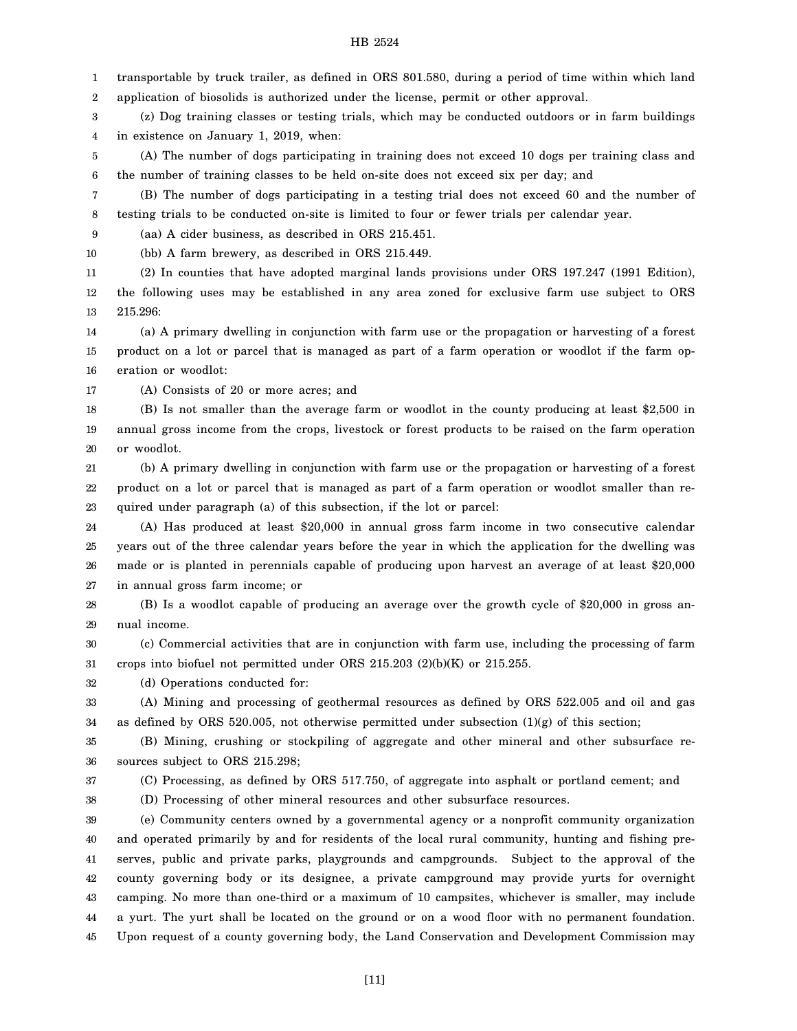1 2 transportable by truck trailer, as defined in ORS 801.580, during a period of time within which land application of biosolids is authorized under the license, permit or other approval.

3 4 (z) Dog training classes or testing trials, which may be conducted outdoors or in farm buildings in existence on January 1, 2019, when:

5 6 (A) The number of dogs participating in training does not exceed 10 dogs per training class and the number of training classes to be held on-site does not exceed six per day; and

7 8 (B) The number of dogs participating in a testing trial does not exceed 60 and the number of testing trials to be conducted on-site is limited to four or fewer trials per calendar year.

9 (aa) A cider business, as described in ORS 215.451.

10 (bb) A farm brewery, as described in ORS 215.449.

11 (2) In counties that have adopted marginal lands provisions under ORS 197.247 (1991 Edition),

12 13 the following uses may be established in any area zoned for exclusive farm use subject to ORS 215.296:

14 15 16 (a) A primary dwelling in conjunction with farm use or the propagation or harvesting of a forest product on a lot or parcel that is managed as part of a farm operation or woodlot if the farm operation or woodlot:

17 (A) Consists of 20 or more acres; and

18 19 20 (B) Is not smaller than the average farm or woodlot in the county producing at least \$2,500 in annual gross income from the crops, livestock or forest products to be raised on the farm operation or woodlot.

21 22 23 (b) A primary dwelling in conjunction with farm use or the propagation or harvesting of a forest product on a lot or parcel that is managed as part of a farm operation or woodlot smaller than required under paragraph (a) of this subsection, if the lot or parcel:

24 25 26 27 (A) Has produced at least \$20,000 in annual gross farm income in two consecutive calendar years out of the three calendar years before the year in which the application for the dwelling was made or is planted in perennials capable of producing upon harvest an average of at least \$20,000 in annual gross farm income; or

28 29 (B) Is a woodlot capable of producing an average over the growth cycle of \$20,000 in gross annual income.

30 31 (c) Commercial activities that are in conjunction with farm use, including the processing of farm crops into biofuel not permitted under ORS 215.203 (2)(b)(K) or 215.255.

32 (d) Operations conducted for:

33 34 (A) Mining and processing of geothermal resources as defined by ORS 522.005 and oil and gas as defined by ORS 520.005, not otherwise permitted under subsection  $(1)(g)$  of this section;

35 36 (B) Mining, crushing or stockpiling of aggregate and other mineral and other subsurface resources subject to ORS 215.298;

37

(C) Processing, as defined by ORS 517.750, of aggregate into asphalt or portland cement; and

38

(D) Processing of other mineral resources and other subsurface resources. (e) Community centers owned by a governmental agency or a nonprofit community organization

39 40 41 42 43 44 45 and operated primarily by and for residents of the local rural community, hunting and fishing preserves, public and private parks, playgrounds and campgrounds. Subject to the approval of the county governing body or its designee, a private campground may provide yurts for overnight camping. No more than one-third or a maximum of 10 campsites, whichever is smaller, may include a yurt. The yurt shall be located on the ground or on a wood floor with no permanent foundation. Upon request of a county governing body, the Land Conservation and Development Commission may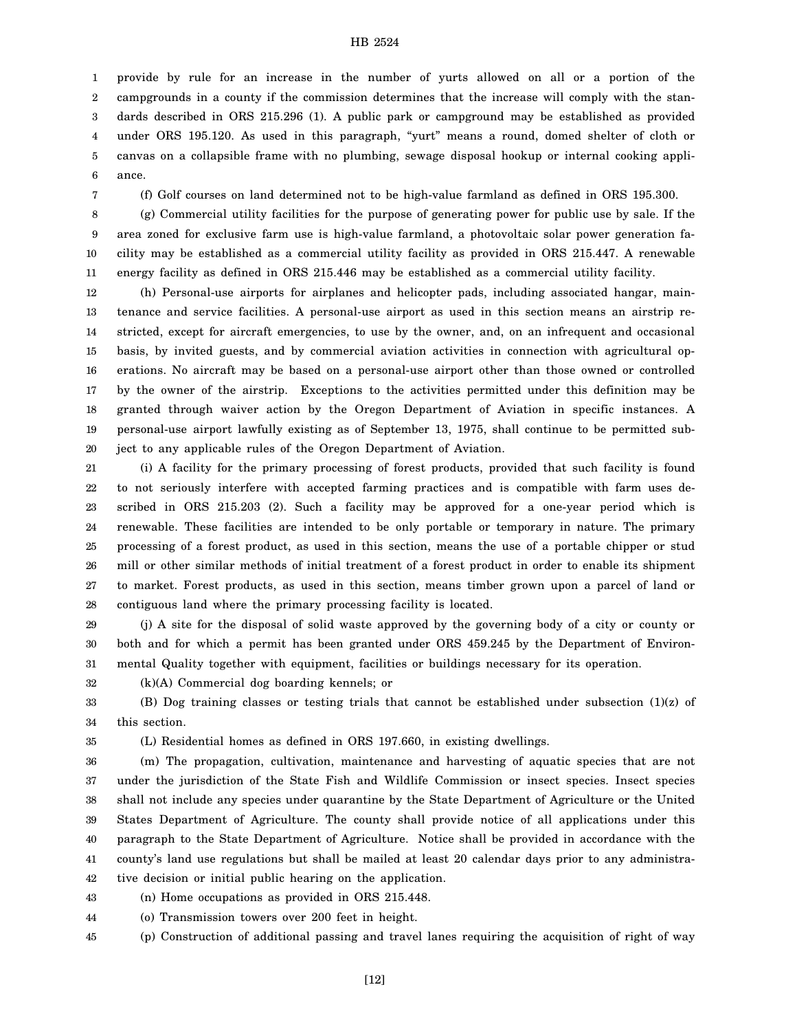1 2 3 4 5 6 provide by rule for an increase in the number of yurts allowed on all or a portion of the campgrounds in a county if the commission determines that the increase will comply with the standards described in ORS 215.296 (1). A public park or campground may be established as provided under ORS 195.120. As used in this paragraph, "yurt" means a round, domed shelter of cloth or canvas on a collapsible frame with no plumbing, sewage disposal hookup or internal cooking appliance.

7

(f) Golf courses on land determined not to be high-value farmland as defined in ORS 195.300.

8 9 10 11 (g) Commercial utility facilities for the purpose of generating power for public use by sale. If the area zoned for exclusive farm use is high-value farmland, a photovoltaic solar power generation facility may be established as a commercial utility facility as provided in ORS 215.447. A renewable energy facility as defined in ORS 215.446 may be established as a commercial utility facility.

12 13 14 15 16 17 18 19 20 (h) Personal-use airports for airplanes and helicopter pads, including associated hangar, maintenance and service facilities. A personal-use airport as used in this section means an airstrip restricted, except for aircraft emergencies, to use by the owner, and, on an infrequent and occasional basis, by invited guests, and by commercial aviation activities in connection with agricultural operations. No aircraft may be based on a personal-use airport other than those owned or controlled by the owner of the airstrip. Exceptions to the activities permitted under this definition may be granted through waiver action by the Oregon Department of Aviation in specific instances. A personal-use airport lawfully existing as of September 13, 1975, shall continue to be permitted subject to any applicable rules of the Oregon Department of Aviation.

21 22 23 24 25 26 27 28 (i) A facility for the primary processing of forest products, provided that such facility is found to not seriously interfere with accepted farming practices and is compatible with farm uses described in ORS 215.203 (2). Such a facility may be approved for a one-year period which is renewable. These facilities are intended to be only portable or temporary in nature. The primary processing of a forest product, as used in this section, means the use of a portable chipper or stud mill or other similar methods of initial treatment of a forest product in order to enable its shipment to market. Forest products, as used in this section, means timber grown upon a parcel of land or contiguous land where the primary processing facility is located.

29 30 31 (j) A site for the disposal of solid waste approved by the governing body of a city or county or both and for which a permit has been granted under ORS 459.245 by the Department of Environmental Quality together with equipment, facilities or buildings necessary for its operation.

32 (k)(A) Commercial dog boarding kennels; or

33 34 (B) Dog training classes or testing trials that cannot be established under subsection (1)(z) of this section.

35

(L) Residential homes as defined in ORS 197.660, in existing dwellings.

36 37 38 39 40 41 42 (m) The propagation, cultivation, maintenance and harvesting of aquatic species that are not under the jurisdiction of the State Fish and Wildlife Commission or insect species. Insect species shall not include any species under quarantine by the State Department of Agriculture or the United States Department of Agriculture. The county shall provide notice of all applications under this paragraph to the State Department of Agriculture. Notice shall be provided in accordance with the county's land use regulations but shall be mailed at least 20 calendar days prior to any administrative decision or initial public hearing on the application.

43 (n) Home occupations as provided in ORS 215.448.

44 (o) Transmission towers over 200 feet in height.

45 (p) Construction of additional passing and travel lanes requiring the acquisition of right of way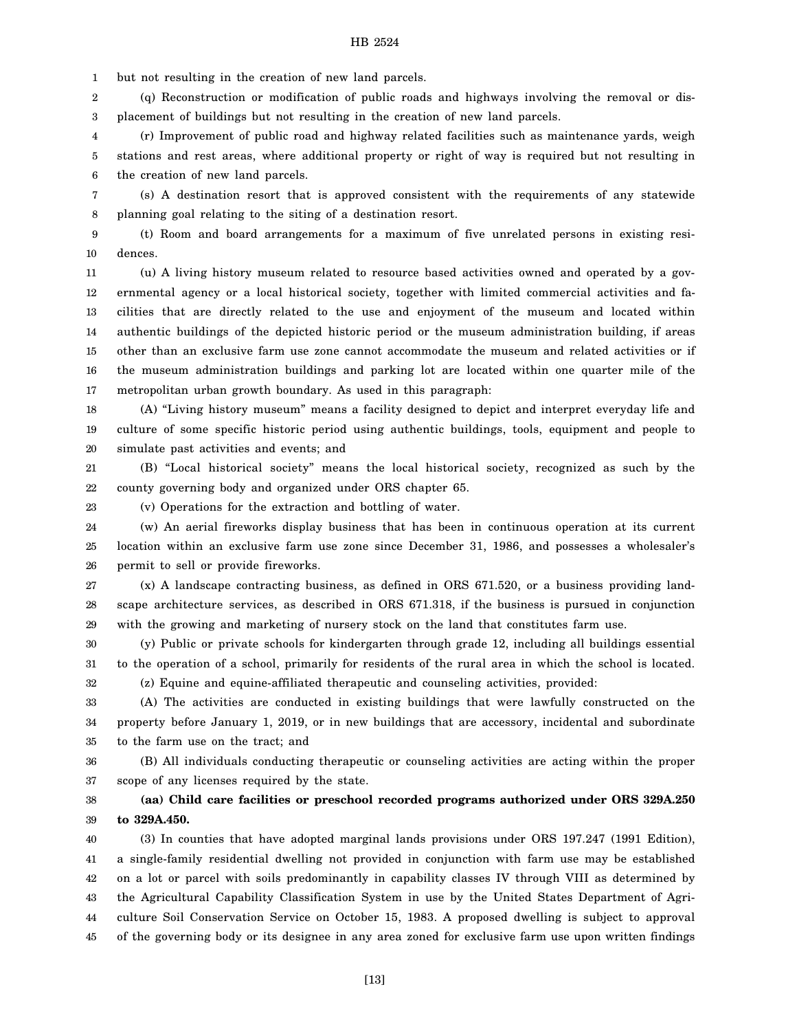1 but not resulting in the creation of new land parcels.

2 3 (q) Reconstruction or modification of public roads and highways involving the removal or displacement of buildings but not resulting in the creation of new land parcels.

4 5 6 (r) Improvement of public road and highway related facilities such as maintenance yards, weigh stations and rest areas, where additional property or right of way is required but not resulting in the creation of new land parcels.

7 8 (s) A destination resort that is approved consistent with the requirements of any statewide planning goal relating to the siting of a destination resort.

9 10 (t) Room and board arrangements for a maximum of five unrelated persons in existing residences.

11 12 13 14 15 16 17 (u) A living history museum related to resource based activities owned and operated by a governmental agency or a local historical society, together with limited commercial activities and facilities that are directly related to the use and enjoyment of the museum and located within authentic buildings of the depicted historic period or the museum administration building, if areas other than an exclusive farm use zone cannot accommodate the museum and related activities or if the museum administration buildings and parking lot are located within one quarter mile of the metropolitan urban growth boundary. As used in this paragraph:

18 19 20 (A) "Living history museum" means a facility designed to depict and interpret everyday life and culture of some specific historic period using authentic buildings, tools, equipment and people to simulate past activities and events; and

21 22 (B) "Local historical society" means the local historical society, recognized as such by the county governing body and organized under ORS chapter 65.

(v) Operations for the extraction and bottling of water.

23

24 25 26 (w) An aerial fireworks display business that has been in continuous operation at its current location within an exclusive farm use zone since December 31, 1986, and possesses a wholesaler's permit to sell or provide fireworks.

27 28 29 (x) A landscape contracting business, as defined in ORS 671.520, or a business providing landscape architecture services, as described in ORS 671.318, if the business is pursued in conjunction with the growing and marketing of nursery stock on the land that constitutes farm use.

30 31 32 (y) Public or private schools for kindergarten through grade 12, including all buildings essential to the operation of a school, primarily for residents of the rural area in which the school is located. (z) Equine and equine-affiliated therapeutic and counseling activities, provided:

33 34 35 (A) The activities are conducted in existing buildings that were lawfully constructed on the property before January 1, 2019, or in new buildings that are accessory, incidental and subordinate to the farm use on the tract; and

36 37 (B) All individuals conducting therapeutic or counseling activities are acting within the proper scope of any licenses required by the state.

38 39 **(aa) Child care facilities or preschool recorded programs authorized under ORS 329A.250 to 329A.450.**

40 41 42 43 44 45 (3) In counties that have adopted marginal lands provisions under ORS 197.247 (1991 Edition), a single-family residential dwelling not provided in conjunction with farm use may be established on a lot or parcel with soils predominantly in capability classes IV through VIII as determined by the Agricultural Capability Classification System in use by the United States Department of Agriculture Soil Conservation Service on October 15, 1983. A proposed dwelling is subject to approval of the governing body or its designee in any area zoned for exclusive farm use upon written findings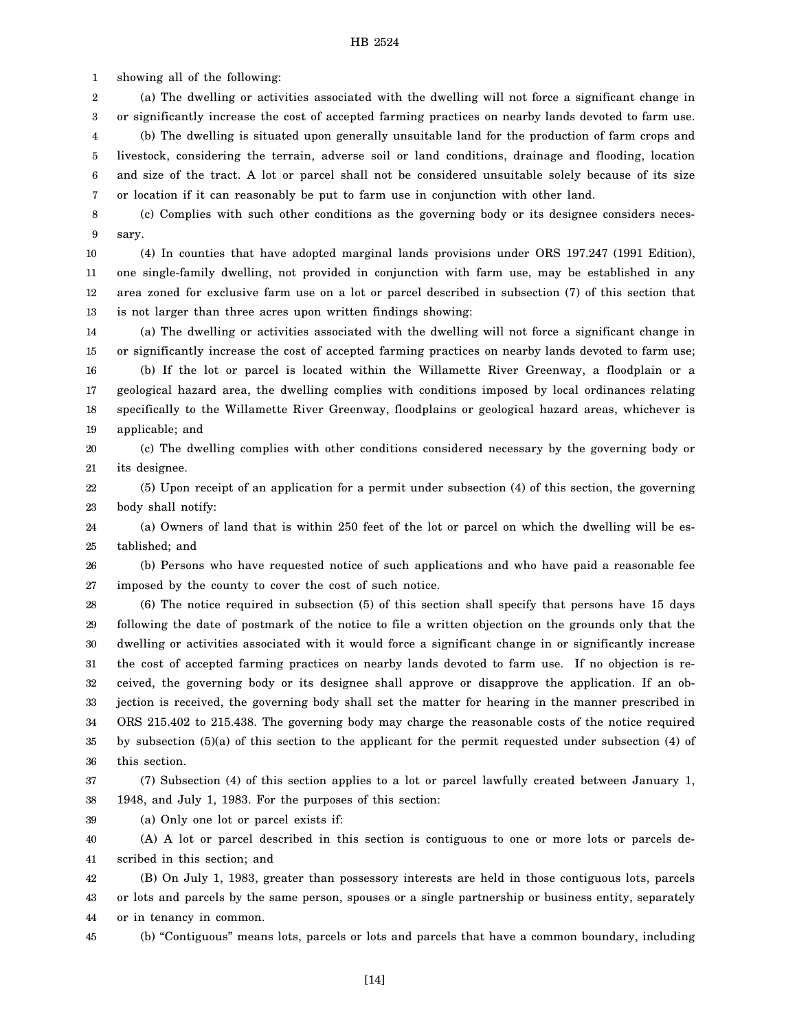1 showing all of the following:

2 3 (a) The dwelling or activities associated with the dwelling will not force a significant change in or significantly increase the cost of accepted farming practices on nearby lands devoted to farm use.

4 5 6 7 (b) The dwelling is situated upon generally unsuitable land for the production of farm crops and livestock, considering the terrain, adverse soil or land conditions, drainage and flooding, location and size of the tract. A lot or parcel shall not be considered unsuitable solely because of its size or location if it can reasonably be put to farm use in conjunction with other land.

8 9 (c) Complies with such other conditions as the governing body or its designee considers necessary.

10 11 12 13 (4) In counties that have adopted marginal lands provisions under ORS 197.247 (1991 Edition), one single-family dwelling, not provided in conjunction with farm use, may be established in any area zoned for exclusive farm use on a lot or parcel described in subsection (7) of this section that is not larger than three acres upon written findings showing:

14 15 16 17 18 19 (a) The dwelling or activities associated with the dwelling will not force a significant change in or significantly increase the cost of accepted farming practices on nearby lands devoted to farm use; (b) If the lot or parcel is located within the Willamette River Greenway, a floodplain or a geological hazard area, the dwelling complies with conditions imposed by local ordinances relating specifically to the Willamette River Greenway, floodplains or geological hazard areas, whichever is applicable; and

20 21 (c) The dwelling complies with other conditions considered necessary by the governing body or its designee.

22 23 (5) Upon receipt of an application for a permit under subsection (4) of this section, the governing body shall notify:

24 25 (a) Owners of land that is within 250 feet of the lot or parcel on which the dwelling will be established; and

26 27 (b) Persons who have requested notice of such applications and who have paid a reasonable fee imposed by the county to cover the cost of such notice.

28 29 30 31 32 33 34 35 36 (6) The notice required in subsection (5) of this section shall specify that persons have 15 days following the date of postmark of the notice to file a written objection on the grounds only that the dwelling or activities associated with it would force a significant change in or significantly increase the cost of accepted farming practices on nearby lands devoted to farm use. If no objection is received, the governing body or its designee shall approve or disapprove the application. If an objection is received, the governing body shall set the matter for hearing in the manner prescribed in ORS 215.402 to 215.438. The governing body may charge the reasonable costs of the notice required by subsection (5)(a) of this section to the applicant for the permit requested under subsection (4) of this section.

37 38 (7) Subsection (4) of this section applies to a lot or parcel lawfully created between January 1, 1948, and July 1, 1983. For the purposes of this section:

39 (a) Only one lot or parcel exists if:

40 41 (A) A lot or parcel described in this section is contiguous to one or more lots or parcels described in this section; and

42 43 44 (B) On July 1, 1983, greater than possessory interests are held in those contiguous lots, parcels or lots and parcels by the same person, spouses or a single partnership or business entity, separately or in tenancy in common.

(b) "Contiguous" means lots, parcels or lots and parcels that have a common boundary, including

45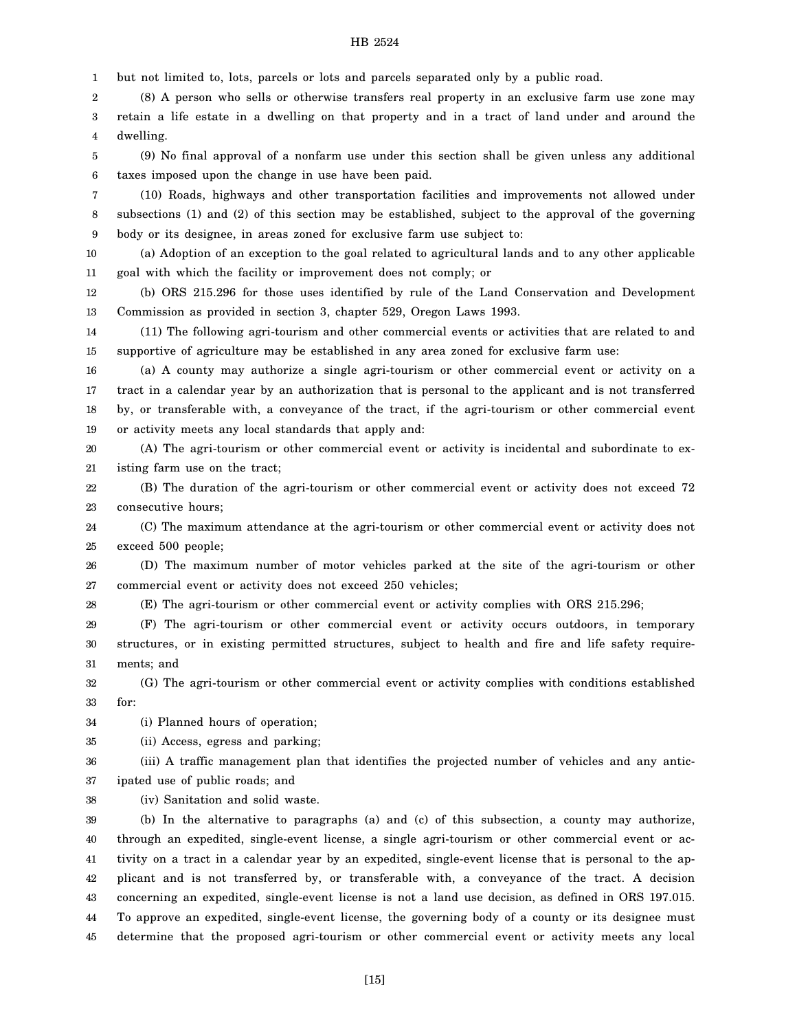1 but not limited to, lots, parcels or lots and parcels separated only by a public road.

2 3 4 (8) A person who sells or otherwise transfers real property in an exclusive farm use zone may retain a life estate in a dwelling on that property and in a tract of land under and around the dwelling.

5 6 (9) No final approval of a nonfarm use under this section shall be given unless any additional taxes imposed upon the change in use have been paid.

7 8 9 (10) Roads, highways and other transportation facilities and improvements not allowed under subsections (1) and (2) of this section may be established, subject to the approval of the governing body or its designee, in areas zoned for exclusive farm use subject to:

10 11 (a) Adoption of an exception to the goal related to agricultural lands and to any other applicable goal with which the facility or improvement does not comply; or

12 13 (b) ORS 215.296 for those uses identified by rule of the Land Conservation and Development Commission as provided in section 3, chapter 529, Oregon Laws 1993.

14 15 (11) The following agri-tourism and other commercial events or activities that are related to and supportive of agriculture may be established in any area zoned for exclusive farm use:

16 17 18 19 (a) A county may authorize a single agri-tourism or other commercial event or activity on a tract in a calendar year by an authorization that is personal to the applicant and is not transferred by, or transferable with, a conveyance of the tract, if the agri-tourism or other commercial event or activity meets any local standards that apply and:

20 21 (A) The agri-tourism or other commercial event or activity is incidental and subordinate to existing farm use on the tract;

22 23 (B) The duration of the agri-tourism or other commercial event or activity does not exceed 72 consecutive hours;

24 25 (C) The maximum attendance at the agri-tourism or other commercial event or activity does not exceed 500 people;

26 27 (D) The maximum number of motor vehicles parked at the site of the agri-tourism or other commercial event or activity does not exceed 250 vehicles;

28 (E) The agri-tourism or other commercial event or activity complies with ORS 215.296;

29 30 31 (F) The agri-tourism or other commercial event or activity occurs outdoors, in temporary structures, or in existing permitted structures, subject to health and fire and life safety requirements; and

32 33 (G) The agri-tourism or other commercial event or activity complies with conditions established for:

34 (i) Planned hours of operation;

35 (ii) Access, egress and parking;

36 37 (iii) A traffic management plan that identifies the projected number of vehicles and any anticipated use of public roads; and

38 (iv) Sanitation and solid waste.

39 40 41 42 43 44 45 (b) In the alternative to paragraphs (a) and (c) of this subsection, a county may authorize, through an expedited, single-event license, a single agri-tourism or other commercial event or activity on a tract in a calendar year by an expedited, single-event license that is personal to the applicant and is not transferred by, or transferable with, a conveyance of the tract. A decision concerning an expedited, single-event license is not a land use decision, as defined in ORS 197.015. To approve an expedited, single-event license, the governing body of a county or its designee must determine that the proposed agri-tourism or other commercial event or activity meets any local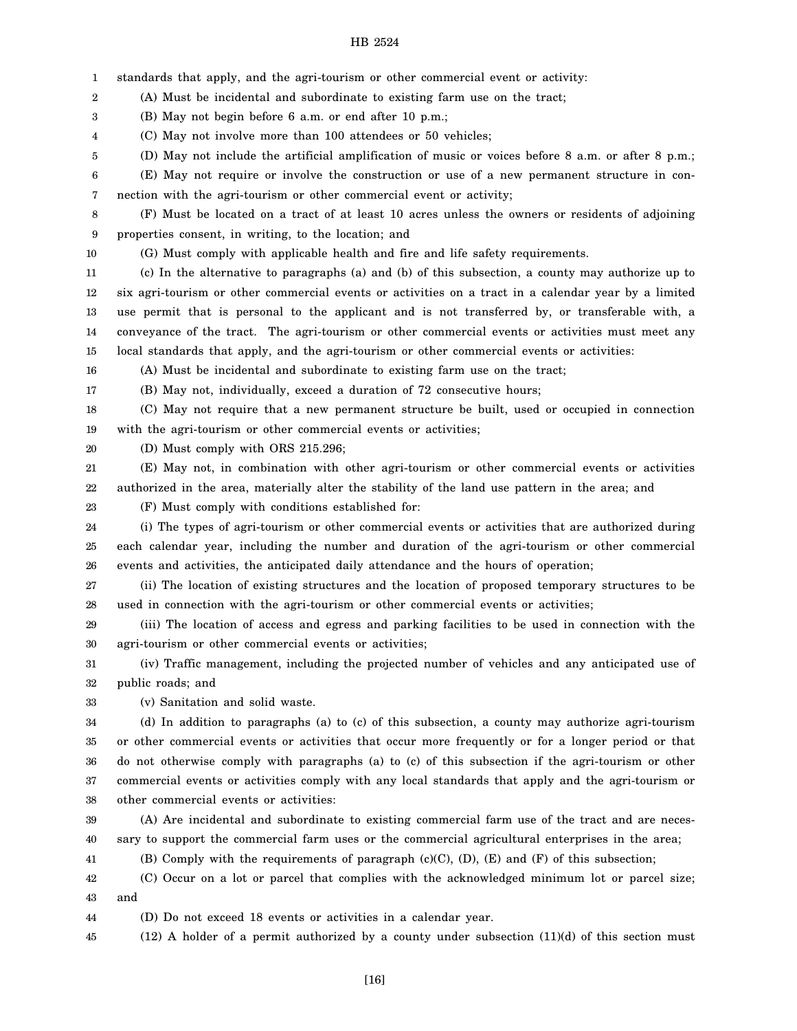1 2 3 4 5 6 7 8 9 10 11 12 13 14 15 16 17 18 19 20 21 22 23 24 25 26 27 28 29 30 31 32 33 34 35 36 37 38 39 40 41 42 43 44 45 standards that apply, and the agri-tourism or other commercial event or activity: (A) Must be incidental and subordinate to existing farm use on the tract; (B) May not begin before 6 a.m. or end after 10 p.m.; (C) May not involve more than 100 attendees or 50 vehicles; (D) May not include the artificial amplification of music or voices before 8 a.m. or after 8 p.m.; (E) May not require or involve the construction or use of a new permanent structure in connection with the agri-tourism or other commercial event or activity; (F) Must be located on a tract of at least 10 acres unless the owners or residents of adjoining properties consent, in writing, to the location; and (G) Must comply with applicable health and fire and life safety requirements. (c) In the alternative to paragraphs (a) and (b) of this subsection, a county may authorize up to six agri-tourism or other commercial events or activities on a tract in a calendar year by a limited use permit that is personal to the applicant and is not transferred by, or transferable with, a conveyance of the tract. The agri-tourism or other commercial events or activities must meet any local standards that apply, and the agri-tourism or other commercial events or activities: (A) Must be incidental and subordinate to existing farm use on the tract; (B) May not, individually, exceed a duration of 72 consecutive hours; (C) May not require that a new permanent structure be built, used or occupied in connection with the agri-tourism or other commercial events or activities; (D) Must comply with ORS 215.296; (E) May not, in combination with other agri-tourism or other commercial events or activities authorized in the area, materially alter the stability of the land use pattern in the area; and (F) Must comply with conditions established for: (i) The types of agri-tourism or other commercial events or activities that are authorized during each calendar year, including the number and duration of the agri-tourism or other commercial events and activities, the anticipated daily attendance and the hours of operation; (ii) The location of existing structures and the location of proposed temporary structures to be used in connection with the agri-tourism or other commercial events or activities; (iii) The location of access and egress and parking facilities to be used in connection with the agri-tourism or other commercial events or activities; (iv) Traffic management, including the projected number of vehicles and any anticipated use of public roads; and (v) Sanitation and solid waste. (d) In addition to paragraphs (a) to (c) of this subsection, a county may authorize agri-tourism or other commercial events or activities that occur more frequently or for a longer period or that do not otherwise comply with paragraphs (a) to (c) of this subsection if the agri-tourism or other commercial events or activities comply with any local standards that apply and the agri-tourism or other commercial events or activities: (A) Are incidental and subordinate to existing commercial farm use of the tract and are necessary to support the commercial farm uses or the commercial agricultural enterprises in the area; (B) Comply with the requirements of paragraph (c)(C),  $(D)$ ,  $(E)$  and  $(F)$  of this subsection; (C) Occur on a lot or parcel that complies with the acknowledged minimum lot or parcel size; and (D) Do not exceed 18 events or activities in a calendar year.  $(12)$  A holder of a permit authorized by a county under subsection  $(11)(d)$  of this section must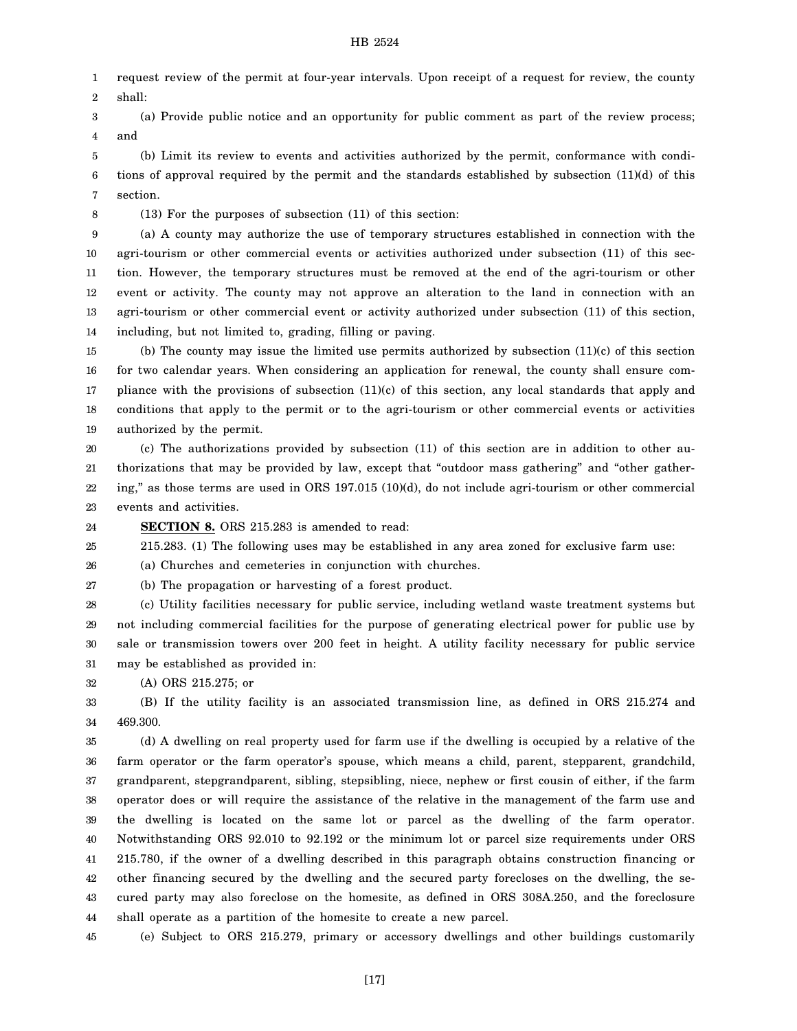1 2 request review of the permit at four-year intervals. Upon receipt of a request for review, the county shall:

3 4 (a) Provide public notice and an opportunity for public comment as part of the review process; and

5 6 7 (b) Limit its review to events and activities authorized by the permit, conformance with conditions of approval required by the permit and the standards established by subsection (11)(d) of this section.

8

(13) For the purposes of subsection (11) of this section:

9 10 11 12 13 14 (a) A county may authorize the use of temporary structures established in connection with the agri-tourism or other commercial events or activities authorized under subsection (11) of this section. However, the temporary structures must be removed at the end of the agri-tourism or other event or activity. The county may not approve an alteration to the land in connection with an agri-tourism or other commercial event or activity authorized under subsection (11) of this section, including, but not limited to, grading, filling or paving.

15 16 17 18 19 (b) The county may issue the limited use permits authorized by subsection (11)(c) of this section for two calendar years. When considering an application for renewal, the county shall ensure compliance with the provisions of subsection (11)(c) of this section, any local standards that apply and conditions that apply to the permit or to the agri-tourism or other commercial events or activities authorized by the permit.

20 21 22 23 (c) The authorizations provided by subsection (11) of this section are in addition to other authorizations that may be provided by law, except that "outdoor mass gathering" and "other gathering," as those terms are used in ORS 197.015 (10)(d), do not include agri-tourism or other commercial events and activities.

24 **SECTION 8.** ORS 215.283 is amended to read:

25 215.283. (1) The following uses may be established in any area zoned for exclusive farm use:

26 (a) Churches and cemeteries in conjunction with churches.

27 (b) The propagation or harvesting of a forest product.

28 29 30 31 (c) Utility facilities necessary for public service, including wetland waste treatment systems but not including commercial facilities for the purpose of generating electrical power for public use by sale or transmission towers over 200 feet in height. A utility facility necessary for public service may be established as provided in:

32 (A) ORS 215.275; or

33 34 (B) If the utility facility is an associated transmission line, as defined in ORS 215.274 and 469.300.

35 36 37 38 39 40 41 42 43 44 (d) A dwelling on real property used for farm use if the dwelling is occupied by a relative of the farm operator or the farm operator's spouse, which means a child, parent, stepparent, grandchild, grandparent, stepgrandparent, sibling, stepsibling, niece, nephew or first cousin of either, if the farm operator does or will require the assistance of the relative in the management of the farm use and the dwelling is located on the same lot or parcel as the dwelling of the farm operator. Notwithstanding ORS 92.010 to 92.192 or the minimum lot or parcel size requirements under ORS 215.780, if the owner of a dwelling described in this paragraph obtains construction financing or other financing secured by the dwelling and the secured party forecloses on the dwelling, the secured party may also foreclose on the homesite, as defined in ORS 308A.250, and the foreclosure shall operate as a partition of the homesite to create a new parcel.

45 (e) Subject to ORS 215.279, primary or accessory dwellings and other buildings customarily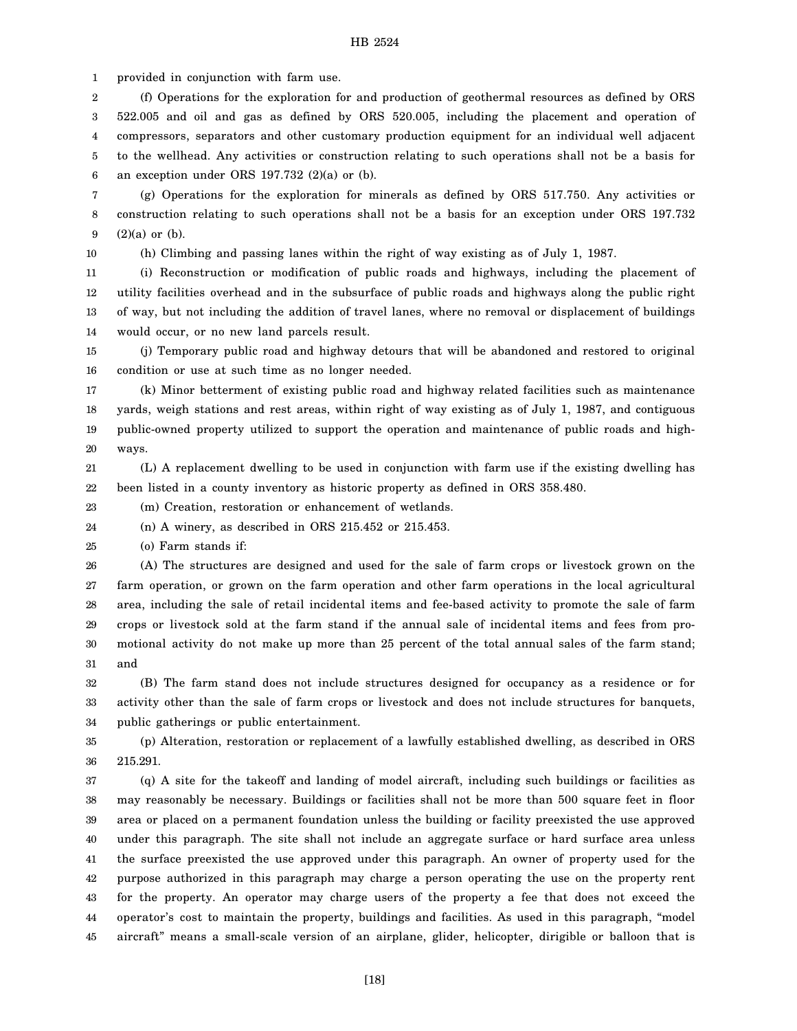1 provided in conjunction with farm use.

2 3 4 5 6 (f) Operations for the exploration for and production of geothermal resources as defined by ORS 522.005 and oil and gas as defined by ORS 520.005, including the placement and operation of compressors, separators and other customary production equipment for an individual well adjacent to the wellhead. Any activities or construction relating to such operations shall not be a basis for an exception under ORS 197.732 (2)(a) or (b).

7 8 9 (g) Operations for the exploration for minerals as defined by ORS 517.750. Any activities or construction relating to such operations shall not be a basis for an exception under ORS 197.732 (2)(a) or (b).

10

(h) Climbing and passing lanes within the right of way existing as of July 1, 1987.

11 12 13 14 (i) Reconstruction or modification of public roads and highways, including the placement of utility facilities overhead and in the subsurface of public roads and highways along the public right of way, but not including the addition of travel lanes, where no removal or displacement of buildings would occur, or no new land parcels result.

15 16 (j) Temporary public road and highway detours that will be abandoned and restored to original condition or use at such time as no longer needed.

17 18 19 20 (k) Minor betterment of existing public road and highway related facilities such as maintenance yards, weigh stations and rest areas, within right of way existing as of July 1, 1987, and contiguous public-owned property utilized to support the operation and maintenance of public roads and highways.

21 22 (L) A replacement dwelling to be used in conjunction with farm use if the existing dwelling has been listed in a county inventory as historic property as defined in ORS 358.480.

23 (m) Creation, restoration or enhancement of wetlands.

24 (n) A winery, as described in ORS 215.452 or 215.453.

25 (o) Farm stands if:

26 27 28 29 30 31 (A) The structures are designed and used for the sale of farm crops or livestock grown on the farm operation, or grown on the farm operation and other farm operations in the local agricultural area, including the sale of retail incidental items and fee-based activity to promote the sale of farm crops or livestock sold at the farm stand if the annual sale of incidental items and fees from promotional activity do not make up more than 25 percent of the total annual sales of the farm stand; and

32 33 34 (B) The farm stand does not include structures designed for occupancy as a residence or for activity other than the sale of farm crops or livestock and does not include structures for banquets, public gatherings or public entertainment.

35 36 (p) Alteration, restoration or replacement of a lawfully established dwelling, as described in ORS 215.291.

37 38 39 40 41 42 43 44 45 (q) A site for the takeoff and landing of model aircraft, including such buildings or facilities as may reasonably be necessary. Buildings or facilities shall not be more than 500 square feet in floor area or placed on a permanent foundation unless the building or facility preexisted the use approved under this paragraph. The site shall not include an aggregate surface or hard surface area unless the surface preexisted the use approved under this paragraph. An owner of property used for the purpose authorized in this paragraph may charge a person operating the use on the property rent for the property. An operator may charge users of the property a fee that does not exceed the operator's cost to maintain the property, buildings and facilities. As used in this paragraph, "model aircraft" means a small-scale version of an airplane, glider, helicopter, dirigible or balloon that is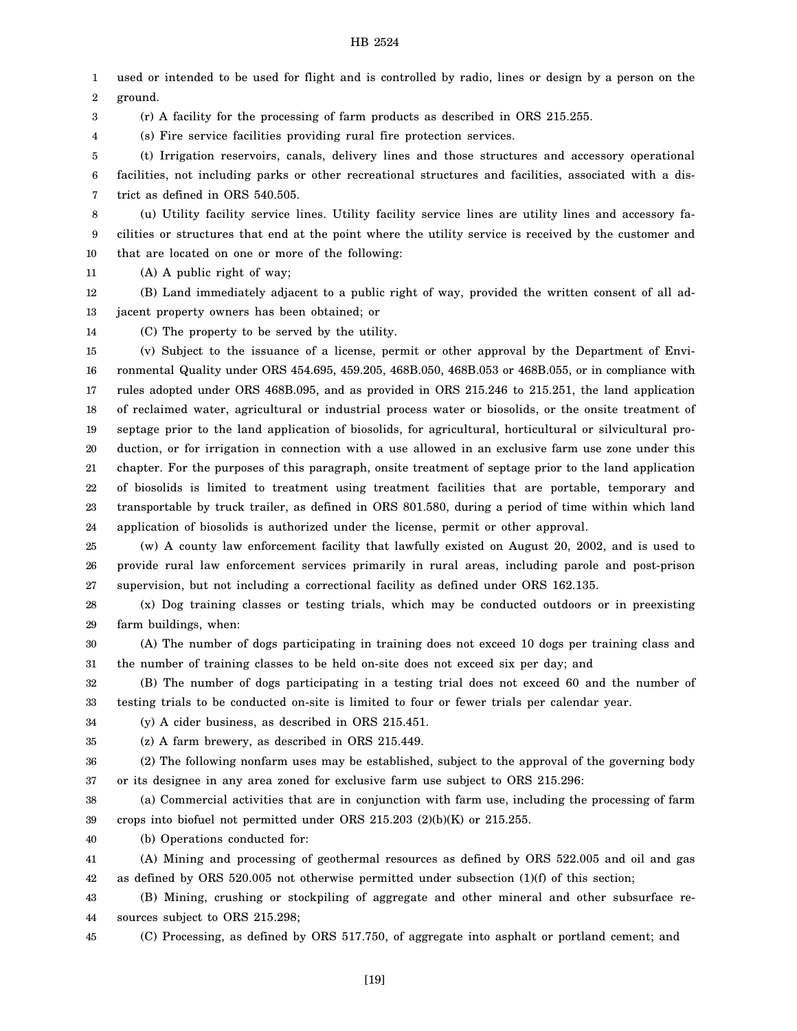1 2 used or intended to be used for flight and is controlled by radio, lines or design by a person on the ground.

3 (r) A facility for the processing of farm products as described in ORS 215.255.

4 (s) Fire service facilities providing rural fire protection services.

5 6 7 (t) Irrigation reservoirs, canals, delivery lines and those structures and accessory operational facilities, not including parks or other recreational structures and facilities, associated with a district as defined in ORS 540.505.

8 9 10 (u) Utility facility service lines. Utility facility service lines are utility lines and accessory facilities or structures that end at the point where the utility service is received by the customer and that are located on one or more of the following:

11 (A) A public right of way;

12 13 (B) Land immediately adjacent to a public right of way, provided the written consent of all adjacent property owners has been obtained; or

14

(C) The property to be served by the utility.

15 16 17 18 19 20 21 22 23 24 (v) Subject to the issuance of a license, permit or other approval by the Department of Environmental Quality under ORS 454.695, 459.205, 468B.050, 468B.053 or 468B.055, or in compliance with rules adopted under ORS 468B.095, and as provided in ORS 215.246 to 215.251, the land application of reclaimed water, agricultural or industrial process water or biosolids, or the onsite treatment of septage prior to the land application of biosolids, for agricultural, horticultural or silvicultural production, or for irrigation in connection with a use allowed in an exclusive farm use zone under this chapter. For the purposes of this paragraph, onsite treatment of septage prior to the land application of biosolids is limited to treatment using treatment facilities that are portable, temporary and transportable by truck trailer, as defined in ORS 801.580, during a period of time within which land application of biosolids is authorized under the license, permit or other approval.

25 26 27 (w) A county law enforcement facility that lawfully existed on August 20, 2002, and is used to provide rural law enforcement services primarily in rural areas, including parole and post-prison supervision, but not including a correctional facility as defined under ORS 162.135.

28 29 (x) Dog training classes or testing trials, which may be conducted outdoors or in preexisting farm buildings, when:

30 31 (A) The number of dogs participating in training does not exceed 10 dogs per training class and the number of training classes to be held on-site does not exceed six per day; and

32 33 (B) The number of dogs participating in a testing trial does not exceed 60 and the number of testing trials to be conducted on-site is limited to four or fewer trials per calendar year.

34 (y) A cider business, as described in ORS 215.451.

35 (z) A farm brewery, as described in ORS 215.449.

36 37 (2) The following nonfarm uses may be established, subject to the approval of the governing body or its designee in any area zoned for exclusive farm use subject to ORS 215.296:

38 39 (a) Commercial activities that are in conjunction with farm use, including the processing of farm crops into biofuel not permitted under ORS 215.203 (2)(b)(K) or 215.255.

40 (b) Operations conducted for:

41 42 (A) Mining and processing of geothermal resources as defined by ORS 522.005 and oil and gas as defined by ORS  $520.005$  not otherwise permitted under subsection  $(1)(f)$  of this section;

43 44 (B) Mining, crushing or stockpiling of aggregate and other mineral and other subsurface resources subject to ORS 215.298;

45

(C) Processing, as defined by ORS 517.750, of aggregate into asphalt or portland cement; and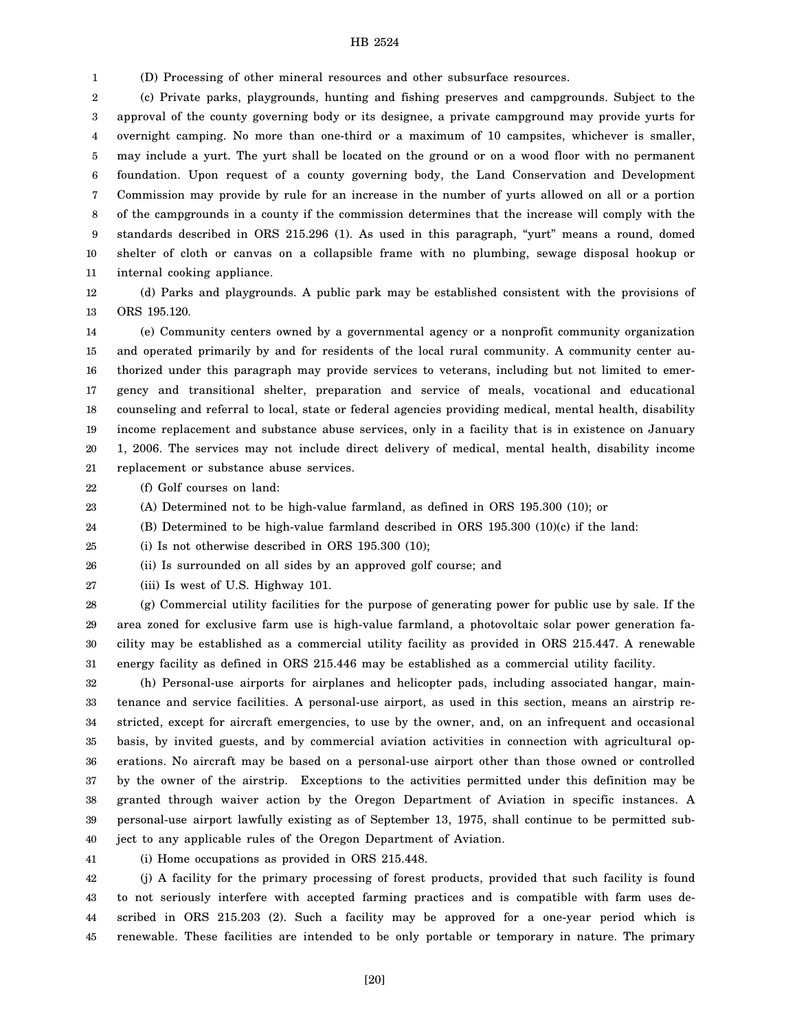1 (D) Processing of other mineral resources and other subsurface resources.

2 3 4 5 6 7 8 9 10 11 (c) Private parks, playgrounds, hunting and fishing preserves and campgrounds. Subject to the approval of the county governing body or its designee, a private campground may provide yurts for overnight camping. No more than one-third or a maximum of 10 campsites, whichever is smaller, may include a yurt. The yurt shall be located on the ground or on a wood floor with no permanent foundation. Upon request of a county governing body, the Land Conservation and Development Commission may provide by rule for an increase in the number of yurts allowed on all or a portion of the campgrounds in a county if the commission determines that the increase will comply with the standards described in ORS 215.296 (1). As used in this paragraph, "yurt" means a round, domed shelter of cloth or canvas on a collapsible frame with no plumbing, sewage disposal hookup or internal cooking appliance.

12 13

(d) Parks and playgrounds. A public park may be established consistent with the provisions of ORS 195.120.

14 15 16 17 18 19 20 21 (e) Community centers owned by a governmental agency or a nonprofit community organization and operated primarily by and for residents of the local rural community. A community center authorized under this paragraph may provide services to veterans, including but not limited to emergency and transitional shelter, preparation and service of meals, vocational and educational counseling and referral to local, state or federal agencies providing medical, mental health, disability income replacement and substance abuse services, only in a facility that is in existence on January 1, 2006. The services may not include direct delivery of medical, mental health, disability income replacement or substance abuse services.

22 (f) Golf courses on land:

23 (A) Determined not to be high-value farmland, as defined in ORS 195.300 (10); or

24 (B) Determined to be high-value farmland described in ORS 195.300 (10)(c) if the land:

25 (i) Is not otherwise described in ORS 195.300 (10);

26 (ii) Is surrounded on all sides by an approved golf course; and

27 (iii) Is west of U.S. Highway 101.

28 29 30 31 (g) Commercial utility facilities for the purpose of generating power for public use by sale. If the area zoned for exclusive farm use is high-value farmland, a photovoltaic solar power generation facility may be established as a commercial utility facility as provided in ORS 215.447. A renewable energy facility as defined in ORS 215.446 may be established as a commercial utility facility.

32 33 34 35 36 37 38 39 40 (h) Personal-use airports for airplanes and helicopter pads, including associated hangar, maintenance and service facilities. A personal-use airport, as used in this section, means an airstrip restricted, except for aircraft emergencies, to use by the owner, and, on an infrequent and occasional basis, by invited guests, and by commercial aviation activities in connection with agricultural operations. No aircraft may be based on a personal-use airport other than those owned or controlled by the owner of the airstrip. Exceptions to the activities permitted under this definition may be granted through waiver action by the Oregon Department of Aviation in specific instances. A personal-use airport lawfully existing as of September 13, 1975, shall continue to be permitted subject to any applicable rules of the Oregon Department of Aviation.

41

(i) Home occupations as provided in ORS 215.448.

42 43 44 45 (j) A facility for the primary processing of forest products, provided that such facility is found to not seriously interfere with accepted farming practices and is compatible with farm uses described in ORS 215.203 (2). Such a facility may be approved for a one-year period which is renewable. These facilities are intended to be only portable or temporary in nature. The primary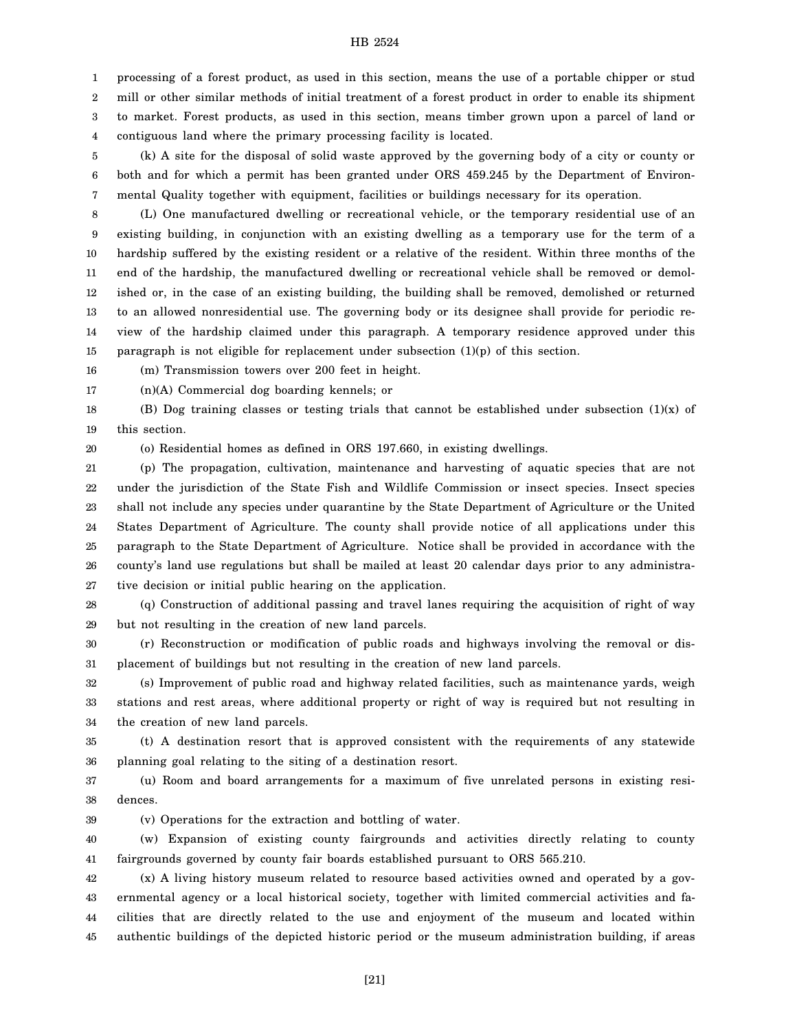1 2 3 4 processing of a forest product, as used in this section, means the use of a portable chipper or stud mill or other similar methods of initial treatment of a forest product in order to enable its shipment to market. Forest products, as used in this section, means timber grown upon a parcel of land or contiguous land where the primary processing facility is located.

5 6 7 (k) A site for the disposal of solid waste approved by the governing body of a city or county or both and for which a permit has been granted under ORS 459.245 by the Department of Environmental Quality together with equipment, facilities or buildings necessary for its operation.

8 9 10 11 12 13 14 15 (L) One manufactured dwelling or recreational vehicle, or the temporary residential use of an existing building, in conjunction with an existing dwelling as a temporary use for the term of a hardship suffered by the existing resident or a relative of the resident. Within three months of the end of the hardship, the manufactured dwelling or recreational vehicle shall be removed or demolished or, in the case of an existing building, the building shall be removed, demolished or returned to an allowed nonresidential use. The governing body or its designee shall provide for periodic review of the hardship claimed under this paragraph. A temporary residence approved under this paragraph is not eligible for replacement under subsection (1)(p) of this section.

16 (m) Transmission towers over 200 feet in height.

17 (n)(A) Commercial dog boarding kennels; or

18 19 (B) Dog training classes or testing trials that cannot be established under subsection  $(1)(x)$  of this section.

20

39

(o) Residential homes as defined in ORS 197.660, in existing dwellings.

21 22 23 24 25 26 27 (p) The propagation, cultivation, maintenance and harvesting of aquatic species that are not under the jurisdiction of the State Fish and Wildlife Commission or insect species. Insect species shall not include any species under quarantine by the State Department of Agriculture or the United States Department of Agriculture. The county shall provide notice of all applications under this paragraph to the State Department of Agriculture. Notice shall be provided in accordance with the county's land use regulations but shall be mailed at least 20 calendar days prior to any administrative decision or initial public hearing on the application.

28 29 (q) Construction of additional passing and travel lanes requiring the acquisition of right of way but not resulting in the creation of new land parcels.

30 31 (r) Reconstruction or modification of public roads and highways involving the removal or displacement of buildings but not resulting in the creation of new land parcels.

32 33 34 (s) Improvement of public road and highway related facilities, such as maintenance yards, weigh stations and rest areas, where additional property or right of way is required but not resulting in the creation of new land parcels.

35 36 (t) A destination resort that is approved consistent with the requirements of any statewide planning goal relating to the siting of a destination resort.

37 38 (u) Room and board arrangements for a maximum of five unrelated persons in existing residences.

(v) Operations for the extraction and bottling of water.

40 41 (w) Expansion of existing county fairgrounds and activities directly relating to county fairgrounds governed by county fair boards established pursuant to ORS 565.210.

42 43 44 45 (x) A living history museum related to resource based activities owned and operated by a governmental agency or a local historical society, together with limited commercial activities and facilities that are directly related to the use and enjoyment of the museum and located within authentic buildings of the depicted historic period or the museum administration building, if areas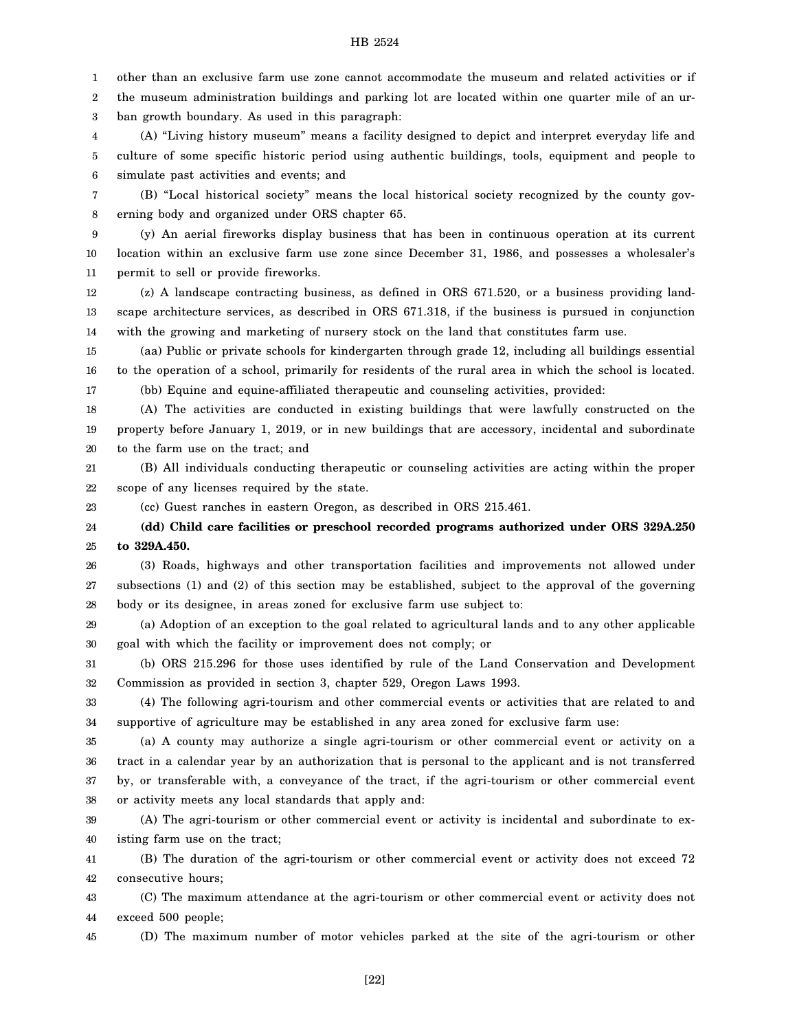1 other than an exclusive farm use zone cannot accommodate the museum and related activities or if

2 the museum administration buildings and parking lot are located within one quarter mile of an ur-

3 ban growth boundary. As used in this paragraph:

4 5 6 (A) "Living history museum" means a facility designed to depict and interpret everyday life and culture of some specific historic period using authentic buildings, tools, equipment and people to simulate past activities and events; and

7 8 (B) "Local historical society" means the local historical society recognized by the county governing body and organized under ORS chapter 65.

9 10 11 (y) An aerial fireworks display business that has been in continuous operation at its current location within an exclusive farm use zone since December 31, 1986, and possesses a wholesaler's permit to sell or provide fireworks.

12 13 14 (z) A landscape contracting business, as defined in ORS 671.520, or a business providing landscape architecture services, as described in ORS 671.318, if the business is pursued in conjunction with the growing and marketing of nursery stock on the land that constitutes farm use.

15 16 17 (aa) Public or private schools for kindergarten through grade 12, including all buildings essential to the operation of a school, primarily for residents of the rural area in which the school is located.

(bb) Equine and equine-affiliated therapeutic and counseling activities, provided:

18 19 20 (A) The activities are conducted in existing buildings that were lawfully constructed on the property before January 1, 2019, or in new buildings that are accessory, incidental and subordinate to the farm use on the tract; and

21 22 (B) All individuals conducting therapeutic or counseling activities are acting within the proper scope of any licenses required by the state.

23

(cc) Guest ranches in eastern Oregon, as described in ORS 215.461.

24 25 **(dd) Child care facilities or preschool recorded programs authorized under ORS 329A.250 to 329A.450.**

26 27 28 (3) Roads, highways and other transportation facilities and improvements not allowed under subsections (1) and (2) of this section may be established, subject to the approval of the governing body or its designee, in areas zoned for exclusive farm use subject to:

29 30 (a) Adoption of an exception to the goal related to agricultural lands and to any other applicable goal with which the facility or improvement does not comply; or

31 32 (b) ORS 215.296 for those uses identified by rule of the Land Conservation and Development Commission as provided in section 3, chapter 529, Oregon Laws 1993.

33 34 (4) The following agri-tourism and other commercial events or activities that are related to and supportive of agriculture may be established in any area zoned for exclusive farm use:

35 36 37 38 (a) A county may authorize a single agri-tourism or other commercial event or activity on a tract in a calendar year by an authorization that is personal to the applicant and is not transferred by, or transferable with, a conveyance of the tract, if the agri-tourism or other commercial event or activity meets any local standards that apply and:

39 40 (A) The agri-tourism or other commercial event or activity is incidental and subordinate to existing farm use on the tract;

41 42 (B) The duration of the agri-tourism or other commercial event or activity does not exceed 72 consecutive hours;

43 44 (C) The maximum attendance at the agri-tourism or other commercial event or activity does not exceed 500 people;

(D) The maximum number of motor vehicles parked at the site of the agri-tourism or other

45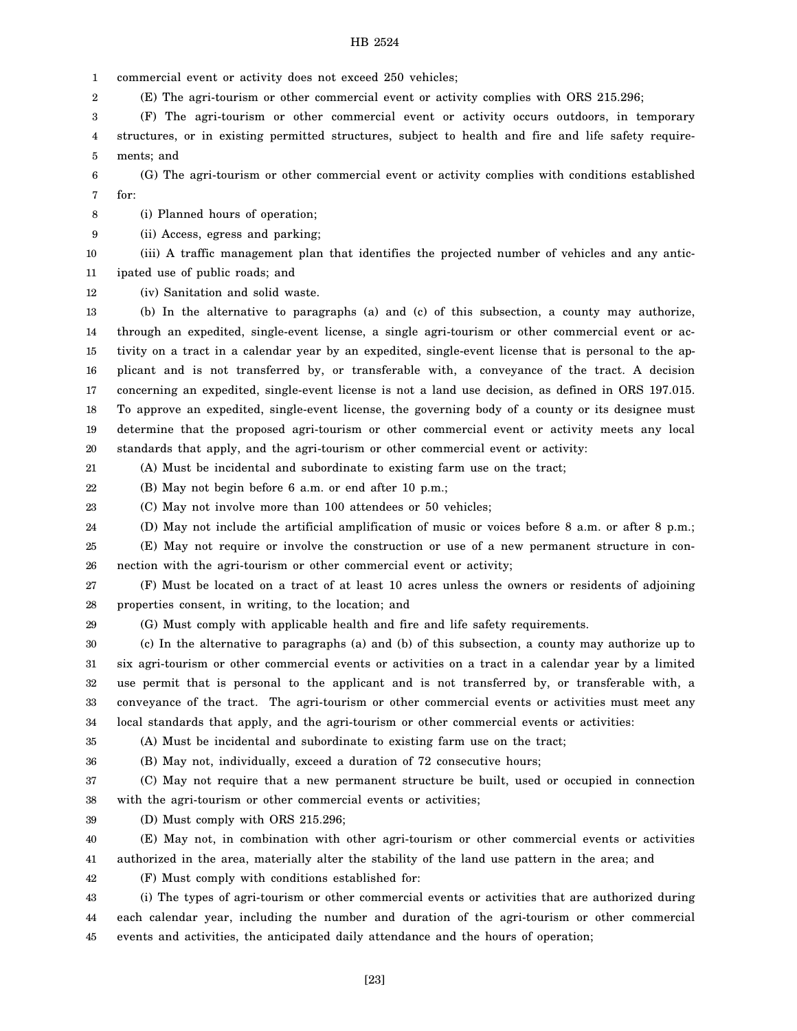1 commercial event or activity does not exceed 250 vehicles;

2 (E) The agri-tourism or other commercial event or activity complies with ORS 215.296;

3 4 5 (F) The agri-tourism or other commercial event or activity occurs outdoors, in temporary structures, or in existing permitted structures, subject to health and fire and life safety requirements; and

6 7 (G) The agri-tourism or other commercial event or activity complies with conditions established for:

8 (i) Planned hours of operation;

9 (ii) Access, egress and parking;

10 (iii) A traffic management plan that identifies the projected number of vehicles and any antic-

11 ipated use of public roads; and

12 (iv) Sanitation and solid waste.

13 14 15 16 17 18 19 20 (b) In the alternative to paragraphs (a) and (c) of this subsection, a county may authorize, through an expedited, single-event license, a single agri-tourism or other commercial event or activity on a tract in a calendar year by an expedited, single-event license that is personal to the applicant and is not transferred by, or transferable with, a conveyance of the tract. A decision concerning an expedited, single-event license is not a land use decision, as defined in ORS 197.015. To approve an expedited, single-event license, the governing body of a county or its designee must determine that the proposed agri-tourism or other commercial event or activity meets any local standards that apply, and the agri-tourism or other commercial event or activity:

21

(A) Must be incidental and subordinate to existing farm use on the tract;

22 (B) May not begin before 6 a.m. or end after 10 p.m.;

23 (C) May not involve more than 100 attendees or 50 vehicles;

24 (D) May not include the artificial amplification of music or voices before 8 a.m. or after 8 p.m.;

25 26 (E) May not require or involve the construction or use of a new permanent structure in connection with the agri-tourism or other commercial event or activity;

27 28 (F) Must be located on a tract of at least 10 acres unless the owners or residents of adjoining properties consent, in writing, to the location; and

29

(G) Must comply with applicable health and fire and life safety requirements.

30 31 32 33 34 (c) In the alternative to paragraphs (a) and (b) of this subsection, a county may authorize up to six agri-tourism or other commercial events or activities on a tract in a calendar year by a limited use permit that is personal to the applicant and is not transferred by, or transferable with, a conveyance of the tract. The agri-tourism or other commercial events or activities must meet any local standards that apply, and the agri-tourism or other commercial events or activities:

35 (A) Must be incidental and subordinate to existing farm use on the tract;

36

(B) May not, individually, exceed a duration of 72 consecutive hours;

37 38 (C) May not require that a new permanent structure be built, used or occupied in connection with the agri-tourism or other commercial events or activities;

39 (D) Must comply with ORS 215.296;

40 41 (E) May not, in combination with other agri-tourism or other commercial events or activities authorized in the area, materially alter the stability of the land use pattern in the area; and

42 (F) Must comply with conditions established for:

43 44 45 (i) The types of agri-tourism or other commercial events or activities that are authorized during each calendar year, including the number and duration of the agri-tourism or other commercial events and activities, the anticipated daily attendance and the hours of operation;